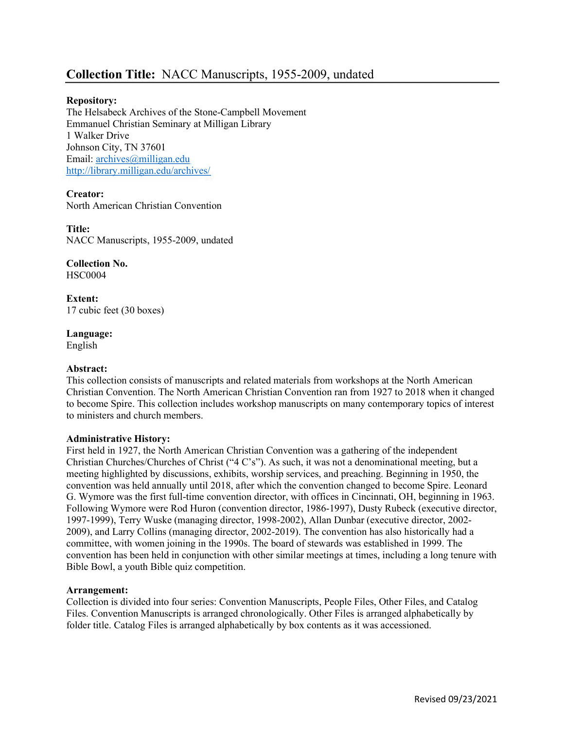# Collection Title: NACC Manuscripts, 1955-2009, undated

## Repository:

The Helsabeck Archives of the Stone-Campbell Movement Emmanuel Christian Seminary at Milligan Library 1 Walker Drive Johnson City, TN 37601 Email: archives@milligan.edu http://library.milligan.edu/archives/

## Creator:

North American Christian Convention

#### Title:

NACC Manuscripts, 1955-2009, undated

Collection No. HSC0004

Extent: 17 cubic feet (30 boxes)

Language: English

#### Abstract:

This collection consists of manuscripts and related materials from workshops at the North American Christian Convention. The North American Christian Convention ran from 1927 to 2018 when it changed to become Spire. This collection includes workshop manuscripts on many contemporary topics of interest to ministers and church members.

#### Administrative History:

First held in 1927, the North American Christian Convention was a gathering of the independent Christian Churches/Churches of Christ ("4 C's"). As such, it was not a denominational meeting, but a meeting highlighted by discussions, exhibits, worship services, and preaching. Beginning in 1950, the convention was held annually until 2018, after which the convention changed to become Spire. Leonard G. Wymore was the first full-time convention director, with offices in Cincinnati, OH, beginning in 1963. Following Wymore were Rod Huron (convention director, 1986-1997), Dusty Rubeck (executive director, 1997-1999), Terry Wuske (managing director, 1998-2002), Allan Dunbar (executive director, 2002- 2009), and Larry Collins (managing director, 2002-2019). The convention has also historically had a committee, with women joining in the 1990s. The board of stewards was established in 1999. The convention has been held in conjunction with other similar meetings at times, including a long tenure with Bible Bowl, a youth Bible quiz competition.

#### Arrangement:

Collection is divided into four series: Convention Manuscripts, People Files, Other Files, and Catalog Files. Convention Manuscripts is arranged chronologically. Other Files is arranged alphabetically by folder title. Catalog Files is arranged alphabetically by box contents as it was accessioned.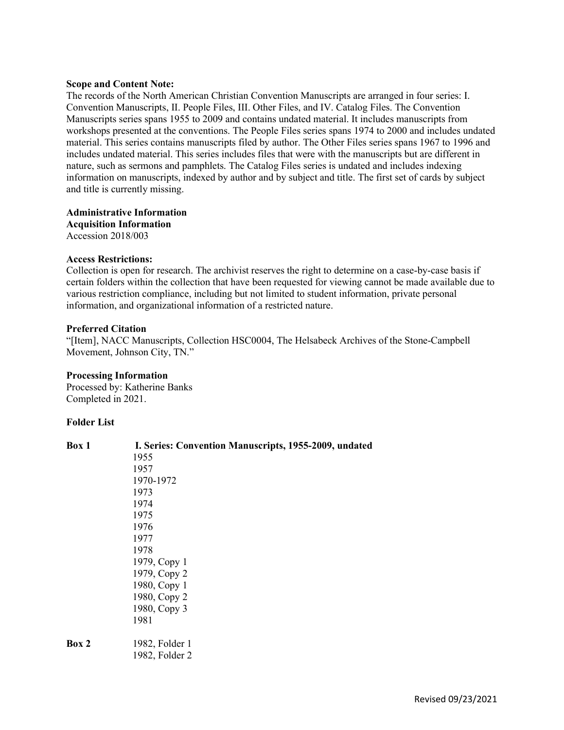#### Scope and Content Note:

The records of the North American Christian Convention Manuscripts are arranged in four series: I. Convention Manuscripts, II. People Files, III. Other Files, and IV. Catalog Files. The Convention Manuscripts series spans 1955 to 2009 and contains undated material. It includes manuscripts from workshops presented at the conventions. The People Files series spans 1974 to 2000 and includes undated material. This series contains manuscripts filed by author. The Other Files series spans 1967 to 1996 and includes undated material. This series includes files that were with the manuscripts but are different in nature, such as sermons and pamphlets. The Catalog Files series is undated and includes indexing information on manuscripts, indexed by author and by subject and title. The first set of cards by subject and title is currently missing.

Administrative Information Acquisition Information Accession 2018/003

### Access Restrictions:

Collection is open for research. The archivist reserves the right to determine on a case-by-case basis if certain folders within the collection that have been requested for viewing cannot be made available due to various restriction compliance, including but not limited to student information, private personal information, and organizational information of a restricted nature.

### Preferred Citation

"[Item], NACC Manuscripts, Collection HSC0004, The Helsabeck Archives of the Stone-Campbell Movement, Johnson City, TN."

#### Processing Information Processed by: Katherine Banks

Completed in 2021.

#### Folder List

| Box 1 | I. Series: Convention Manuscripts, 1955-2009, undated |  |
|-------|-------------------------------------------------------|--|
|       | 1955                                                  |  |
|       | 1957                                                  |  |
|       | 1970-1972                                             |  |
|       | 1973                                                  |  |
|       | 1974                                                  |  |
|       | 1975                                                  |  |
|       | 1976                                                  |  |
|       | 1977                                                  |  |
|       | 1978                                                  |  |
|       | 1979, Copy 1                                          |  |
|       | 1979, Copy 2                                          |  |
|       | 1980, Copy 1                                          |  |
|       | 1980, Copy 2                                          |  |
|       | 1980, Copy 3                                          |  |
|       | 1981                                                  |  |
| Box 2 | 1982, Folder 1                                        |  |
|       | 1982, Folder 2                                        |  |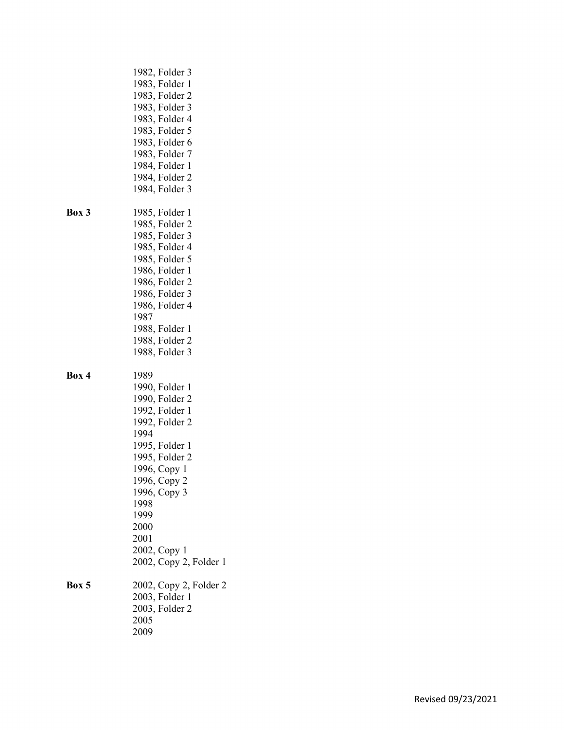|       | 1982, Folder 3         |
|-------|------------------------|
|       | 1983, Folder 1         |
|       | 1983, Folder 2         |
|       | 1983, Folder 3         |
|       |                        |
|       | 1983, Folder 4         |
|       | 1983, Folder 5         |
|       | 1983, Folder 6         |
|       | 1983, Folder 7         |
|       | 1984, Folder 1         |
|       | 1984, Folder 2         |
|       | 1984, Folder 3         |
|       |                        |
| Box 3 | 1985, Folder 1         |
|       | 1985, Folder 2         |
|       | 1985, Folder 3         |
|       |                        |
|       | 1985, Folder 4         |
|       | 1985, Folder 5         |
|       | 1986, Folder 1         |
|       | 1986, Folder 2         |
|       | 1986, Folder 3         |
|       | 1986, Folder 4         |
|       | 1987                   |
|       | 1988, Folder 1         |
|       | 1988, Folder 2         |
|       | 1988, Folder 3         |
|       |                        |
|       |                        |
| Box 4 | 1989                   |
|       | 1990, Folder 1         |
|       | 1990, Folder 2         |
|       | 1992, Folder 1         |
|       | 1992, Folder 2         |
|       | 1994                   |
|       | 1995, Folder 1         |
|       | 1995, Folder 2         |
|       | 1996, Copy 1           |
|       |                        |
|       | 1996, Copy 2           |
|       | 1996, Copy 3           |
|       | 1998                   |
|       | 1999                   |
|       | 2000                   |
|       | 2001                   |
|       | 2002, Copy 1           |
|       | 2002, Copy 2, Folder 1 |
| Box 5 | 2002, Copy 2, Folder 2 |
|       | 2003, Folder 1         |
|       | 2003, Folder 2         |
|       | 2005                   |
|       |                        |
|       | 2009                   |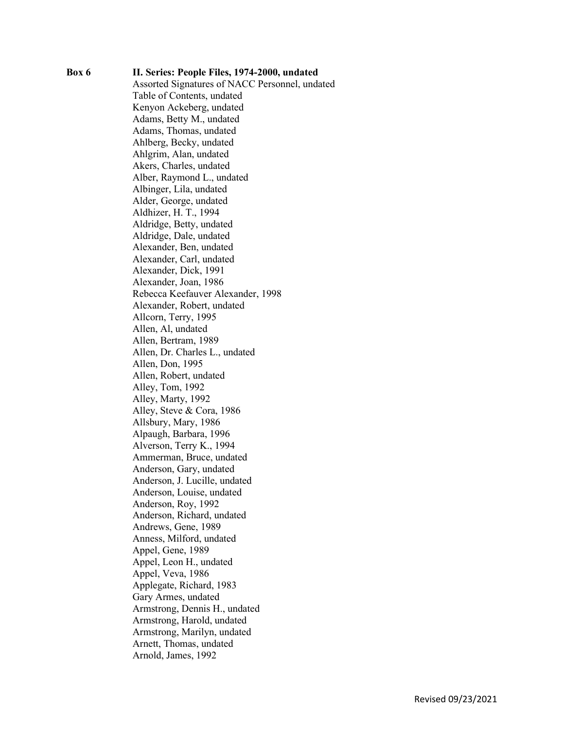Box 6 II. Series: People Files, 1974-2000, undated Assorted Signatures of NACC Personnel, undated Table of Contents, undated Kenyon Ackeberg, undated Adams, Betty M., undated Adams, Thomas, undated Ahlberg, Becky, undated Ahlgrim, Alan, undated Akers, Charles, undated Alber, Raymond L., undated Albinger, Lila, undated Alder, George, undated Aldhizer, H. T., 1994 Aldridge, Betty, undated Aldridge, Dale, undated Alexander, Ben, undated Alexander, Carl, undated Alexander, Dick, 1991 Alexander, Joan, 1986 Rebecca Keefauver Alexander, 1998 Alexander, Robert, undated Allcorn, Terry, 1995 Allen, Al, undated Allen, Bertram, 1989 Allen, Dr. Charles L., undated Allen, Don, 1995 Allen, Robert, undated Alley, Tom, 1992 Alley, Marty, 1992 Alley, Steve & Cora, 1986 Allsbury, Mary, 1986 Alpaugh, Barbara, 1996 Alverson, Terry K., 1994 Ammerman, Bruce, undated Anderson, Gary, undated Anderson, J. Lucille, undated Anderson, Louise, undated Anderson, Roy, 1992 Anderson, Richard, undated Andrews, Gene, 1989 Anness, Milford, undated Appel, Gene, 1989 Appel, Leon H., undated Appel, Veva, 1986 Applegate, Richard, 1983 Gary Armes, undated Armstrong, Dennis H., undated Armstrong, Harold, undated Armstrong, Marilyn, undated Arnett, Thomas, undated Arnold, James, 1992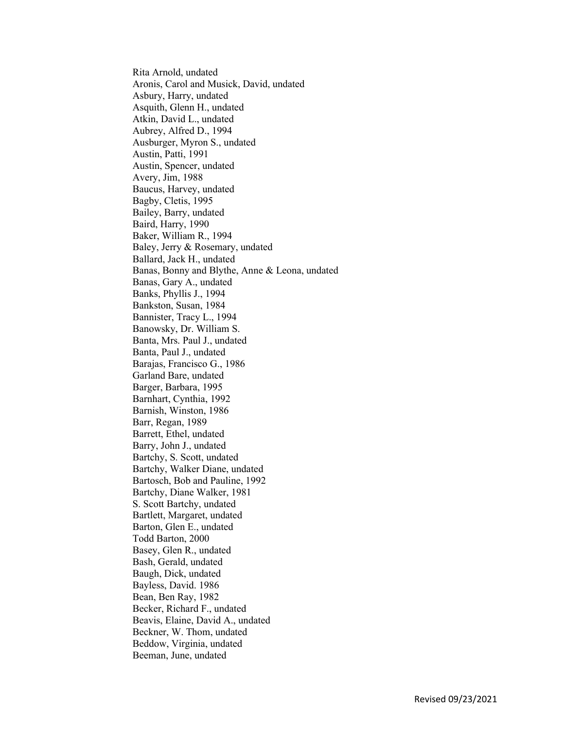Rita Arnold, undated Aronis, Carol and Musick, David, undated Asbury, Harry, undated Asquith, Glenn H., undated Atkin, David L., undated Aubrey, Alfred D., 1994 Ausburger, Myron S., undated Austin, Patti, 1991 Austin, Spencer, undated Avery, Jim, 1988 Baucus, Harvey, undated Bagby, Cletis, 1995 Bailey, Barry, undated Baird, Harry, 1990 Baker, William R., 1994 Baley, Jerry & Rosemary, undated Ballard, Jack H., undated Banas, Bonny and Blythe, Anne & Leona, undated Banas, Gary A., undated Banks, Phyllis J., 1994 Bankston, Susan, 1984 Bannister, Tracy L., 1994 Banowsky, Dr. William S. Banta, Mrs. Paul J., undated Banta, Paul J., undated Barajas, Francisco G., 1986 Garland Bare, undated Barger, Barbara, 1995 Barnhart, Cynthia, 1992 Barnish, Winston, 1986 Barr, Regan, 1989 Barrett, Ethel, undated Barry, John J., undated Bartchy, S. Scott, undated Bartchy, Walker Diane, undated Bartosch, Bob and Pauline, 1992 Bartchy, Diane Walker, 1981 S. Scott Bartchy, undated Bartlett, Margaret, undated Barton, Glen E., undated Todd Barton, 2000 Basey, Glen R., undated Bash, Gerald, undated Baugh, Dick, undated Bayless, David. 1986 Bean, Ben Ray, 1982 Becker, Richard F., undated Beavis, Elaine, David A., undated Beckner, W. Thom, undated Beddow, Virginia, undated Beeman, June, undated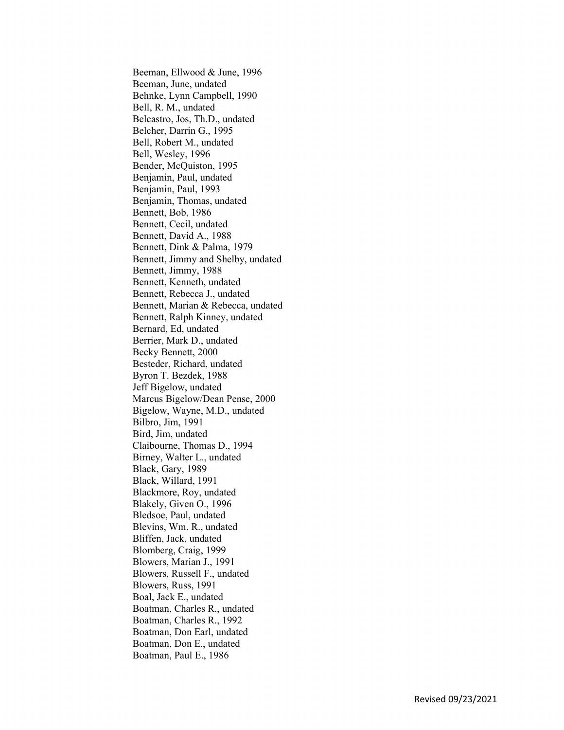Beeman, Ellwood & June, 1996 Beeman, June, undated Behnke, Lynn Campbell, 1990 Bell, R. M., undated Belcastro, Jos, Th.D., undated Belcher, Darrin G., 1995 Bell, Robert M., undated Bell, Wesley, 1996 Bender, McQuiston, 1995 Benjamin, Paul, undated Benjamin, Paul, 1993 Benjamin, Thomas, undated Bennett, Bob, 1986 Bennett, Cecil, undated Bennett, David A., 1988 Bennett, Dink & Palma, 1979 Bennett, Jimmy and Shelby, undated Bennett, Jimmy, 1988 Bennett, Kenneth, undated Bennett, Rebecca J., undated Bennett, Marian & Rebecca, undated Bennett, Ralph Kinney, undated Bernard, Ed, undated Berrier, Mark D., undated Becky Bennett, 2000 Besteder, Richard, undated Byron T. Bezdek, 1988 Jeff Bigelow, undated Marcus Bigelow/Dean Pense, 2000 Bigelow, Wayne, M.D., undated Bilbro, Jim, 1991 Bird, Jim, undated Claibourne, Thomas D., 1994 Birney, Walter L., undated Black, Gary, 1989 Black, Willard, 1991 Blackmore, Roy, undated Blakely, Given O., 1996 Bledsoe, Paul, undated Blevins, Wm. R., undated Bliffen, Jack, undated Blomberg, Craig, 1999 Blowers, Marian J., 1991 Blowers, Russell F., undated Blowers, Russ, 1991 Boal, Jack E., undated Boatman, Charles R., undated Boatman, Charles R., 1992 Boatman, Don Earl, undated Boatman, Don E., undated Boatman, Paul E., 1986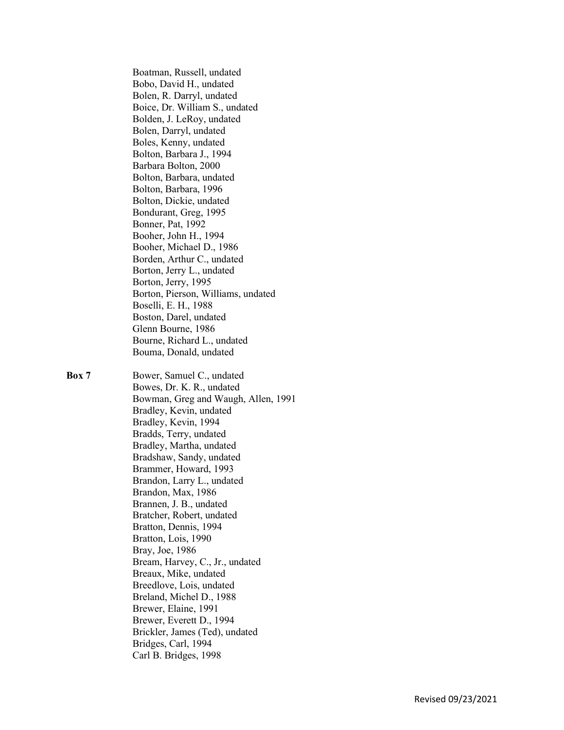Boatman, Russell, undated Bobo, David H., undated Bolen, R. Darryl, undated Boice, Dr. William S., undated Bolden, J. LeRoy, undated Bolen, Darryl, undated Boles, Kenny, undated Bolton, Barbara J., 1994 Barbara Bolton, 2000 Bolton, Barbara, undated Bolton, Barbara, 1996 Bolton, Dickie, undated Bondurant, Greg, 1995 Bonner, Pat, 1992 Booher, John H., 1994 Booher, Michael D., 1986 Borden, Arthur C., undated Borton, Jerry L., undated Borton, Jerry, 1995 Borton, Pierson, Williams, undated Boselli, E. H., 1988 Boston, Darel, undated Glenn Bourne, 1986 Bourne, Richard L., undated Bouma, Donald, undated

Box 7 Bower, Samuel C., undated Bowes, Dr. K. R., undated Bowman, Greg and Waugh, Allen, 1991 Bradley, Kevin, undated Bradley, Kevin, 1994 Bradds, Terry, undated Bradley, Martha, undated Bradshaw, Sandy, undated Brammer, Howard, 1993 Brandon, Larry L., undated Brandon, Max, 1986 Brannen, J. B., undated Bratcher, Robert, undated Bratton, Dennis, 1994 Bratton, Lois, 1990 Bray, Joe, 1986 Bream, Harvey, C., Jr., undated Breaux, Mike, undated Breedlove, Lois, undated Breland, Michel D., 1988 Brewer, Elaine, 1991 Brewer, Everett D., 1994 Brickler, James (Ted), undated Bridges, Carl, 1994 Carl B. Bridges, 1998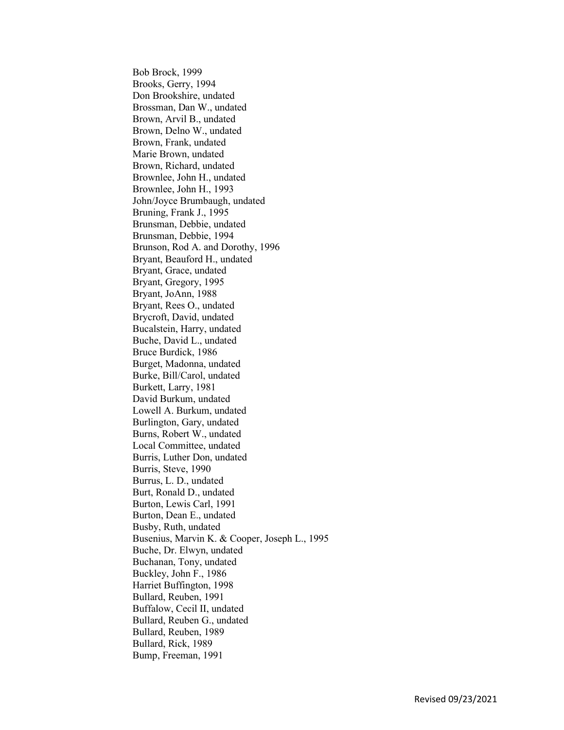Bob Brock, 1999 Brooks, Gerry, 1994 Don Brookshire, undated Brossman, Dan W., undated Brown, Arvil B., undated Brown, Delno W., undated Brown, Frank, undated Marie Brown, undated Brown, Richard, undated Brownlee, John H., undated Brownlee, John H., 1993 John/Joyce Brumbaugh, undated Bruning, Frank J., 1995 Brunsman, Debbie, undated Brunsman, Debbie, 1994 Brunson, Rod A. and Dorothy, 1996 Bryant, Beauford H., undated Bryant, Grace, undated Bryant, Gregory, 1995 Bryant, JoAnn, 1988 Bryant, Rees O., undated Brycroft, David, undated Bucalstein, Harry, undated Buche, David L., undated Bruce Burdick, 1986 Burget, Madonna, undated Burke, Bill/Carol, undated Burkett, Larry, 1981 David Burkum, undated Lowell A. Burkum, undated Burlington, Gary, undated Burns, Robert W., undated Local Committee, undated Burris, Luther Don, undated Burris, Steve, 1990 Burrus, L. D., undated Burt, Ronald D., undated Burton, Lewis Carl, 1991 Burton, Dean E., undated Busby, Ruth, undated Busenius, Marvin K. & Cooper, Joseph L., 1995 Buche, Dr. Elwyn, undated Buchanan, Tony, undated Buckley, John F., 1986 Harriet Buffington, 1998 Bullard, Reuben, 1991 Buffalow, Cecil II, undated Bullard, Reuben G., undated Bullard, Reuben, 1989 Bullard, Rick, 1989 Bump, Freeman, 1991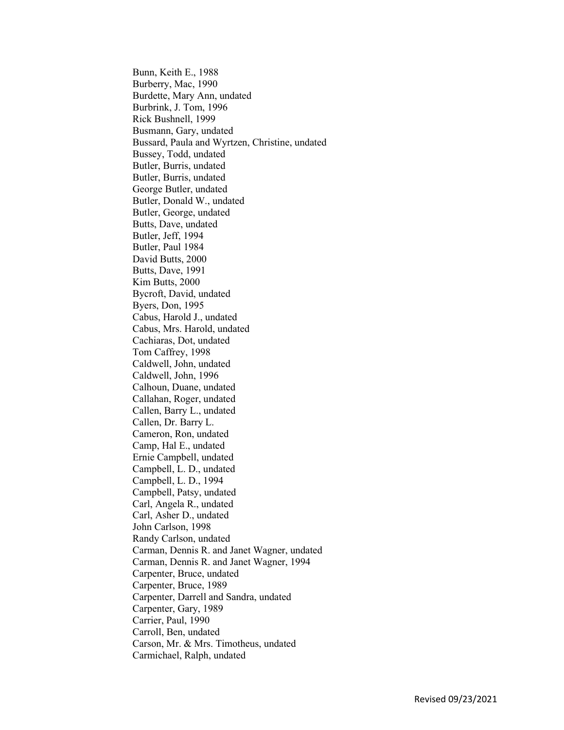Bunn, Keith E., 1988 Burberry, Mac, 1990 Burdette, Mary Ann, undated Burbrink, J. Tom, 1996 Rick Bushnell, 1999 Busmann, Gary, undated Bussard, Paula and Wyrtzen, Christine, undated Bussey, Todd, undated Butler, Burris, undated Butler, Burris, undated George Butler, undated Butler, Donald W., undated Butler, George, undated Butts, Dave, undated Butler, Jeff, 1994 Butler, Paul 1984 David Butts, 2000 Butts, Dave, 1991 Kim Butts, 2000 Bycroft, David, undated Byers, Don, 1995 Cabus, Harold J., undated Cabus, Mrs. Harold, undated Cachiaras, Dot, undated Tom Caffrey, 1998 Caldwell, John, undated Caldwell, John, 1996 Calhoun, Duane, undated Callahan, Roger, undated Callen, Barry L., undated Callen, Dr. Barry L. Cameron, Ron, undated Camp, Hal E., undated Ernie Campbell, undated Campbell, L. D., undated Campbell, L. D., 1994 Campbell, Patsy, undated Carl, Angela R., undated Carl, Asher D., undated John Carlson, 1998 Randy Carlson, undated Carman, Dennis R. and Janet Wagner, undated Carman, Dennis R. and Janet Wagner, 1994 Carpenter, Bruce, undated Carpenter, Bruce, 1989 Carpenter, Darrell and Sandra, undated Carpenter, Gary, 1989 Carrier, Paul, 1990 Carroll, Ben, undated Carson, Mr. & Mrs. Timotheus, undated Carmichael, Ralph, undated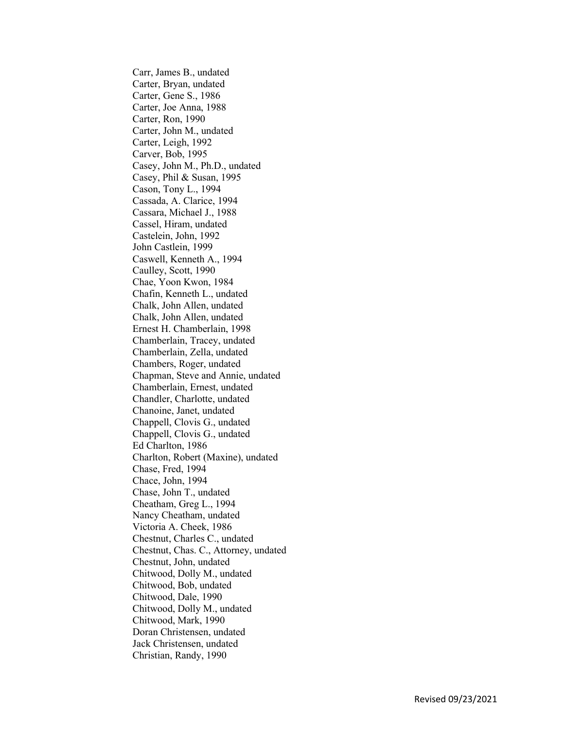Carr, James B., undated Carter, Bryan, undated Carter, Gene S., 1986 Carter, Joe Anna, 1988 Carter, Ron, 1990 Carter, John M., undated Carter, Leigh, 1992 Carver, Bob, 1995 Casey, John M., Ph.D., undated Casey, Phil & Susan, 1995 Cason, Tony L., 1994 Cassada, A. Clarice, 1994 Cassara, Michael J., 1988 Cassel, Hiram, undated Castelein, John, 1992 John Castlein, 1999 Caswell, Kenneth A., 1994 Caulley, Scott, 1990 Chae, Yoon Kwon, 1984 Chafin, Kenneth L., undated Chalk, John Allen, undated Chalk, John Allen, undated Ernest H. Chamberlain, 1998 Chamberlain, Tracey, undated Chamberlain, Zella, undated Chambers, Roger, undated Chapman, Steve and Annie, undated Chamberlain, Ernest, undated Chandler, Charlotte, undated Chanoine, Janet, undated Chappell, Clovis G., undated Chappell, Clovis G., undated Ed Charlton, 1986 Charlton, Robert (Maxine), undated Chase, Fred, 1994 Chace, John, 1994 Chase, John T., undated Cheatham, Greg L., 1994 Nancy Cheatham, undated Victoria A. Cheek, 1986 Chestnut, Charles C., undated Chestnut, Chas. C., Attorney, undated Chestnut, John, undated Chitwood, Dolly M., undated Chitwood, Bob, undated Chitwood, Dale, 1990 Chitwood, Dolly M., undated Chitwood, Mark, 1990 Doran Christensen, undated Jack Christensen, undated Christian, Randy, 1990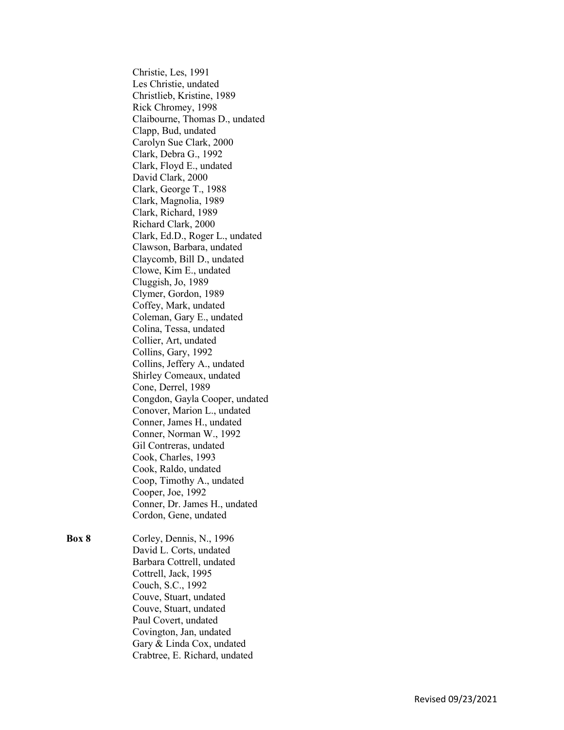Christie, Les, 1991 Les Christie, undated Christlieb, Kristine, 1989 Rick Chromey, 1998 Claibourne, Thomas D., undated Clapp, Bud, undated Carolyn Sue Clark, 2000 Clark, Debra G., 1992 Clark, Floyd E., undated David Clark, 2000 Clark, George T., 1988 Clark, Magnolia, 1989 Clark, Richard, 1989 Richard Clark, 2000 Clark, Ed.D., Roger L., undated Clawson, Barbara, undated Claycomb, Bill D., undated Clowe, Kim E., undated Cluggish, Jo, 1989 Clymer, Gordon, 1989 Coffey, Mark, undated Coleman, Gary E., undated Colina, Tessa, undated Collier, Art, undated Collins, Gary, 1992 Collins, Jeffery A., undated Shirley Comeaux, undated Cone, Derrel, 1989 Congdon, Gayla Cooper, undated Conover, Marion L., undated Conner, James H., undated Conner, Norman W., 1992 Gil Contreras, undated Cook, Charles, 1993 Cook, Raldo, undated Coop, Timothy A., undated Cooper, Joe, 1992 Conner, Dr. James H., undated Cordon, Gene, undated

- 
- **Box 8** Corley, Dennis, N., 1996 David L. Corts, undated Barbara Cottrell, undated Cottrell, Jack, 1995 Couch, S.C., 1992 Couve, Stuart, undated Couve, Stuart, undated Paul Covert, undated Covington, Jan, undated Gary & Linda Cox, undated Crabtree, E. Richard, undated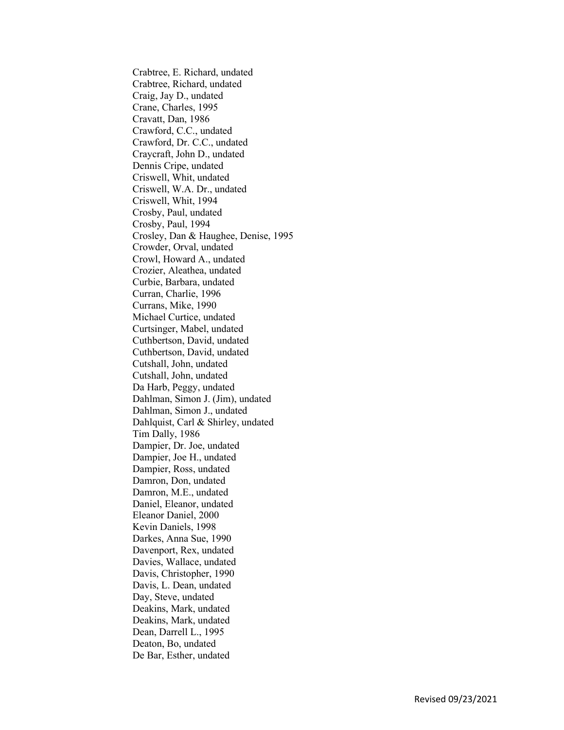Crabtree, E. Richard, undated Crabtree, Richard, undated Craig, Jay D., undated Crane, Charles, 1995 Cravatt, Dan, 1986 Crawford, C.C., undated Crawford, Dr. C.C., undated Craycraft, John D., undated Dennis Cripe, undated Criswell, Whit, undated Criswell, W.A. Dr., undated Criswell, Whit, 1994 Crosby, Paul, undated Crosby, Paul, 1994 Crosley, Dan & Haughee, Denise, 1995 Crowder, Orval, undated Crowl, Howard A., undated Crozier, Aleathea, undated Curbie, Barbara, undated Curran, Charlie, 1996 Currans, Mike, 1990 Michael Curtice, undated Curtsinger, Mabel, undated Cuthbertson, David, undated Cuthbertson, David, undated Cutshall, John, undated Cutshall, John, undated Da Harb, Peggy, undated Dahlman, Simon J. (Jim), undated Dahlman, Simon J., undated Dahlquist, Carl & Shirley, undated Tim Dally, 1986 Dampier, Dr. Joe, undated Dampier, Joe H., undated Dampier, Ross, undated Damron, Don, undated Damron, M.E., undated Daniel, Eleanor, undated Eleanor Daniel, 2000 Kevin Daniels, 1998 Darkes, Anna Sue, 1990 Davenport, Rex, undated Davies, Wallace, undated Davis, Christopher, 1990 Davis, L. Dean, undated Day, Steve, undated Deakins, Mark, undated Deakins, Mark, undated Dean, Darrell L., 1995 Deaton, Bo, undated De Bar, Esther, undated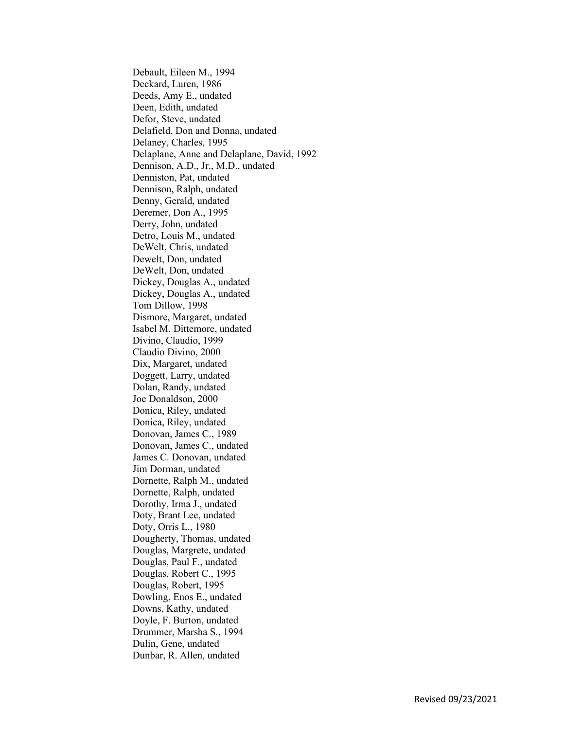Debault, Eileen M., 1994 Deckard, Luren, 1986 Deeds, Amy E., undated Deen, Edith, undated Defor, Steve, undated Delafield, Don and Donna, undated Delaney, Charles, 1995 Delaplane, Anne and Delaplane, David, 1992 Dennison, A.D., Jr., M.D., undated Denniston, Pat, undated Dennison, Ralph, undated Denny, Gerald, undated Deremer, Don A., 1995 Derry, John, undated Detro, Louis M., undated DeWelt, Chris, undated Dewelt, Don, undated DeWelt, Don, undated Dickey, Douglas A., undated Dickey, Douglas A., undated Tom Dillow, 1998 Dismore, Margaret, undated Isabel M. Dittemore, undated Divino, Claudio, 1999 Claudio Divino, 2000 Dix, Margaret, undated Doggett, Larry, undated Dolan, Randy, undated Joe Donaldson, 2000 Donica, Riley, undated Donica, Riley, undated Donovan, James C., 1989 Donovan, James C., undated James C. Donovan, undated Jim Dorman, undated Dornette, Ralph M., undated Dornette, Ralph, undated Dorothy, Irma J., undated Doty, Brant Lee, undated Doty, Orris L., 1980 Dougherty, Thomas, undated Douglas, Margrete, undated Douglas, Paul F., undated Douglas, Robert C., 1995 Douglas, Robert, 1995 Dowling, Enos E., undated Downs, Kathy, undated Doyle, F. Burton, undated Drummer, Marsha S., 1994 Dulin, Gene, undated Dunbar, R. Allen, undated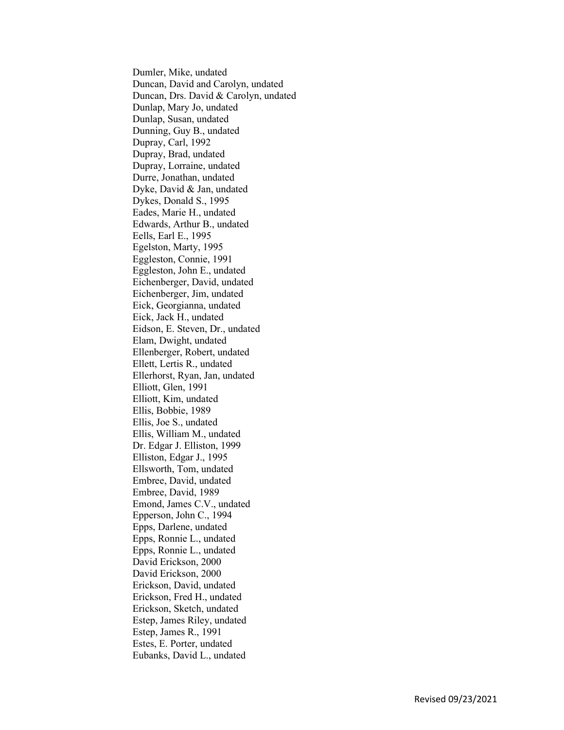Dumler, Mike, undated Duncan, David and Carolyn, undated Duncan, Drs. David & Carolyn, undated Dunlap, Mary Jo, undated Dunlap, Susan, undated Dunning, Guy B., undated Dupray, Carl, 1992 Dupray, Brad, undated Dupray, Lorraine, undated Durre, Jonathan, undated Dyke, David & Jan, undated Dykes, Donald S., 1995 Eades, Marie H., undated Edwards, Arthur B., undated Eells, Earl E., 1995 Egelston, Marty, 1995 Eggleston, Connie, 1991 Eggleston, John E., undated Eichenberger, David, undated Eichenberger, Jim, undated Eick, Georgianna, undated Eick, Jack H., undated Eidson, E. Steven, Dr., undated Elam, Dwight, undated Ellenberger, Robert, undated Ellett, Lertis R., undated Ellerhorst, Ryan, Jan, undated Elliott, Glen, 1991 Elliott, Kim, undated Ellis, Bobbie, 1989 Ellis, Joe S., undated Ellis, William M., undated Dr. Edgar J. Elliston, 1999 Elliston, Edgar J., 1995 Ellsworth, Tom, undated Embree, David, undated Embree, David, 1989 Emond, James C.V., undated Epperson, John C., 1994 Epps, Darlene, undated Epps, Ronnie L., undated Epps, Ronnie L., undated David Erickson, 2000 David Erickson, 2000 Erickson, David, undated Erickson, Fred H., undated Erickson, Sketch, undated Estep, James Riley, undated Estep, James R., 1991 Estes, E. Porter, undated Eubanks, David L., undated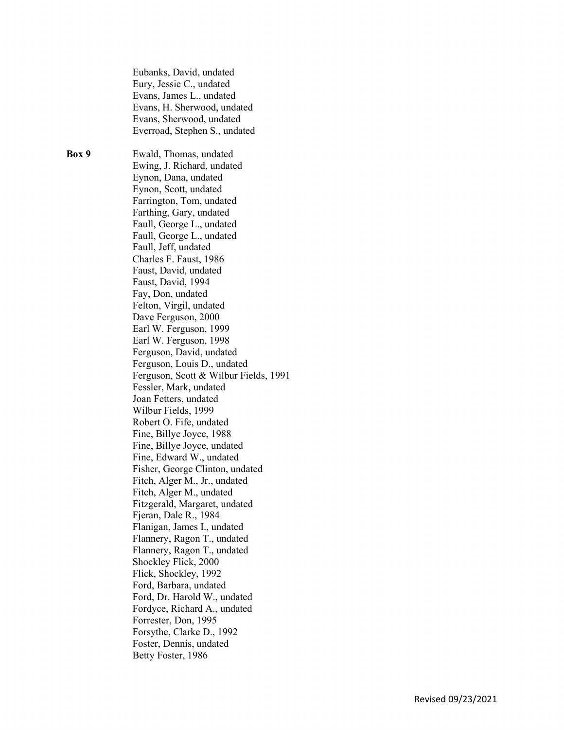Eubanks, David, undated Eury, Jessie C., undated Evans, James L., undated Evans, H. Sherwood, undated Evans, Sherwood, undated Everroad, Stephen S., undated Box 9 Ewald, Thomas, undated Ewing, J. Richard, undated Eynon, Dana, undated Eynon, Scott, undated Farrington, Tom, undated Farthing, Gary, undated Faull, George L., undated Faull, George L., undated Faull, Jeff, undated Charles F. Faust, 1986 Faust, David, undated Faust, David, 1994 Fay, Don, undated Felton, Virgil, undated Dave Ferguson, 2000 Earl W. Ferguson, 1999 Earl W. Ferguson, 1998 Ferguson, David, undated Ferguson, Louis D., undated Ferguson, Scott & Wilbur Fields, 1991 Fessler, Mark, undated Joan Fetters, undated Wilbur Fields, 1999 Robert O. Fife, undated Fine, Billye Joyce, 1988 Fine, Billye Joyce, undated Fine, Edward W., undated Fisher, George Clinton, undated Fitch, Alger M., Jr., undated Fitch, Alger M., undated Fitzgerald, Margaret, undated Fjeran, Dale R., 1984 Flanigan, James I., undated Flannery, Ragon T., undated Flannery, Ragon T., undated Shockley Flick, 2000 Flick, Shockley, 1992 Ford, Barbara, undated Ford, Dr. Harold W., undated Fordyce, Richard A., undated Forrester, Don, 1995 Forsythe, Clarke D., 1992 Foster, Dennis, undated Betty Foster, 1986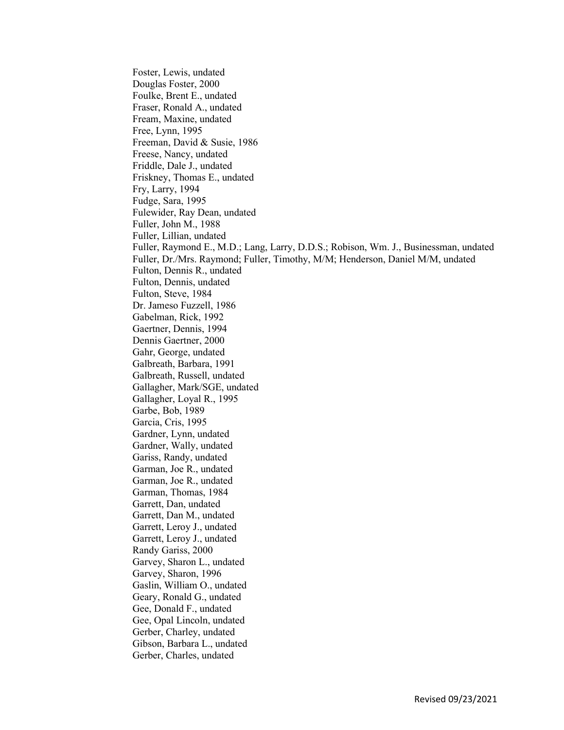Foster, Lewis, undated Douglas Foster, 2000 Foulke, Brent E., undated Fraser, Ronald A., undated Fream, Maxine, undated Free, Lynn, 1995 Freeman, David & Susie, 1986 Freese, Nancy, undated Friddle, Dale J., undated Friskney, Thomas E., undated Fry, Larry, 1994 Fudge, Sara, 1995 Fulewider, Ray Dean, undated Fuller, John M., 1988 Fuller, Lillian, undated Fuller, Raymond E., M.D.; Lang, Larry, D.D.S.; Robison, Wm. J., Businessman, undated Fuller, Dr./Mrs. Raymond; Fuller, Timothy, M/M; Henderson, Daniel M/M, undated Fulton, Dennis R., undated Fulton, Dennis, undated Fulton, Steve, 1984 Dr. Jameso Fuzzell, 1986 Gabelman, Rick, 1992 Gaertner, Dennis, 1994 Dennis Gaertner, 2000 Gahr, George, undated Galbreath, Barbara, 1991 Galbreath, Russell, undated Gallagher, Mark/SGE, undated Gallagher, Loyal R., 1995 Garbe, Bob, 1989 Garcia, Cris, 1995 Gardner, Lynn, undated Gardner, Wally, undated Gariss, Randy, undated Garman, Joe R., undated Garman, Joe R., undated Garman, Thomas, 1984 Garrett, Dan, undated Garrett, Dan M., undated Garrett, Leroy J., undated Garrett, Leroy J., undated Randy Gariss, 2000 Garvey, Sharon L., undated Garvey, Sharon, 1996 Gaslin, William O., undated Geary, Ronald G., undated Gee, Donald F., undated Gee, Opal Lincoln, undated Gerber, Charley, undated Gibson, Barbara L., undated Gerber, Charles, undated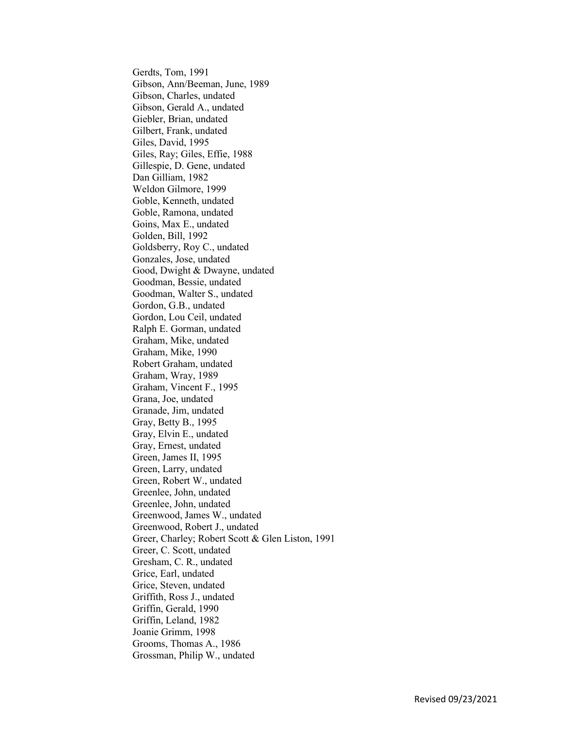Gerdts, Tom, 1991 Gibson, Ann/Beeman, June, 1989 Gibson, Charles, undated Gibson, Gerald A., undated Giebler, Brian, undated Gilbert, Frank, undated Giles, David, 1995 Giles, Ray; Giles, Effie, 1988 Gillespie, D. Gene, undated Dan Gilliam, 1982 Weldon Gilmore, 1999 Goble, Kenneth, undated Goble, Ramona, undated Goins, Max E., undated Golden, Bill, 1992 Goldsberry, Roy C., undated Gonzales, Jose, undated Good, Dwight & Dwayne, undated Goodman, Bessie, undated Goodman, Walter S., undated Gordon, G.B., undated Gordon, Lou Ceil, undated Ralph E. Gorman, undated Graham, Mike, undated Graham, Mike, 1990 Robert Graham, undated Graham, Wray, 1989 Graham, Vincent F., 1995 Grana, Joe, undated Granade, Jim, undated Gray, Betty B., 1995 Gray, Elvin E., undated Gray, Ernest, undated Green, James II, 1995 Green, Larry, undated Green, Robert W., undated Greenlee, John, undated Greenlee, John, undated Greenwood, James W., undated Greenwood, Robert J., undated Greer, Charley; Robert Scott & Glen Liston, 1991 Greer, C. Scott, undated Gresham, C. R., undated Grice, Earl, undated Grice, Steven, undated Griffith, Ross J., undated Griffin, Gerald, 1990 Griffin, Leland, 1982 Joanie Grimm, 1998 Grooms, Thomas A., 1986 Grossman, Philip W., undated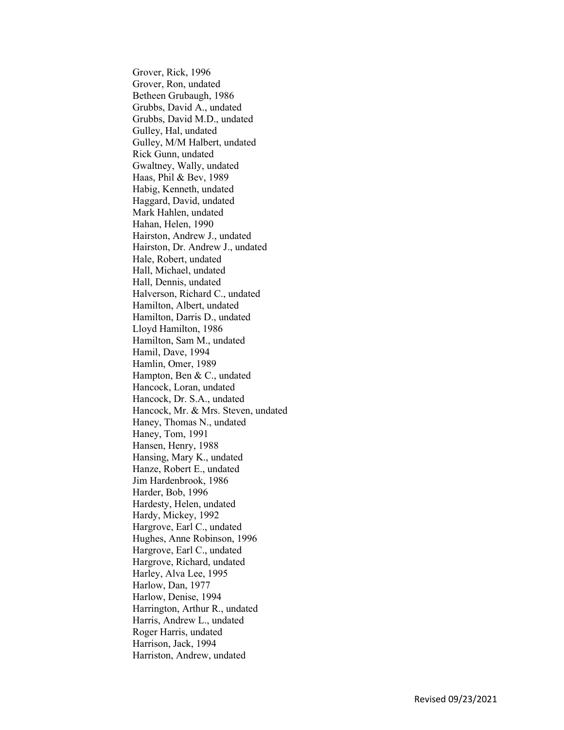Grover, Rick, 1996 Grover, Ron, undated Betheen Grubaugh, 1986 Grubbs, David A., undated Grubbs, David M.D., undated Gulley, Hal, undated Gulley, M/M Halbert, undated Rick Gunn, undated Gwaltney, Wally, undated Haas, Phil & Bev, 1989 Habig, Kenneth, undated Haggard, David, undated Mark Hahlen, undated Hahan, Helen, 1990 Hairston, Andrew J., undated Hairston, Dr. Andrew J., undated Hale, Robert, undated Hall, Michael, undated Hall, Dennis, undated Halverson, Richard C., undated Hamilton, Albert, undated Hamilton, Darris D., undated Lloyd Hamilton, 1986 Hamilton, Sam M., undated Hamil, Dave, 1994 Hamlin, Omer, 1989 Hampton, Ben & C., undated Hancock, Loran, undated Hancock, Dr. S.A., undated Hancock, Mr. & Mrs. Steven, undated Haney, Thomas N., undated Haney, Tom, 1991 Hansen, Henry, 1988 Hansing, Mary K., undated Hanze, Robert E., undated Jim Hardenbrook, 1986 Harder, Bob, 1996 Hardesty, Helen, undated Hardy, Mickey, 1992 Hargrove, Earl C., undated Hughes, Anne Robinson, 1996 Hargrove, Earl C., undated Hargrove, Richard, undated Harley, Alva Lee, 1995 Harlow, Dan, 1977 Harlow, Denise, 1994 Harrington, Arthur R., undated Harris, Andrew L., undated Roger Harris, undated Harrison, Jack, 1994 Harriston, Andrew, undated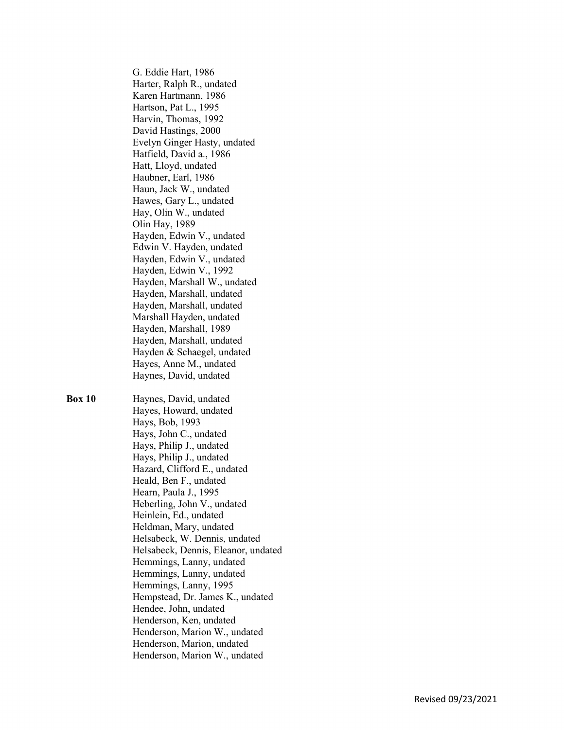G. Eddie Hart, 1986 Harter, Ralph R., undated Karen Hartmann, 1986 Hartson, Pat L., 1995 Harvin, Thomas, 1992 David Hastings, 2000 Evelyn Ginger Hasty, undated Hatfield, David a., 1986 Hatt, Lloyd, undated Haubner, Earl, 1986 Haun, Jack W., undated Hawes, Gary L., undated Hay, Olin W., undated Olin Hay, 1989 Hayden, Edwin V., undated Edwin V. Hayden, undated Hayden, Edwin V., undated Hayden, Edwin V., 1992 Hayden, Marshall W., undated Hayden, Marshall, undated Hayden, Marshall, undated Marshall Hayden, undated Hayden, Marshall, 1989 Hayden, Marshall, undated Hayden & Schaegel, undated Hayes, Anne M., undated Haynes, David, undated

Box 10 Haynes, David, undated Hayes, Howard, undated Hays, Bob, 1993 Hays, John C., undated Hays, Philip J., undated Hays, Philip J., undated Hazard, Clifford E., undated Heald, Ben F., undated Hearn, Paula J., 1995 Heberling, John V., undated Heinlein, Ed., undated Heldman, Mary, undated Helsabeck, W. Dennis, undated Helsabeck, Dennis, Eleanor, undated Hemmings, Lanny, undated Hemmings, Lanny, undated Hemmings, Lanny, 1995 Hempstead, Dr. James K., undated Hendee, John, undated Henderson, Ken, undated Henderson, Marion W., undated Henderson, Marion, undated Henderson, Marion W., undated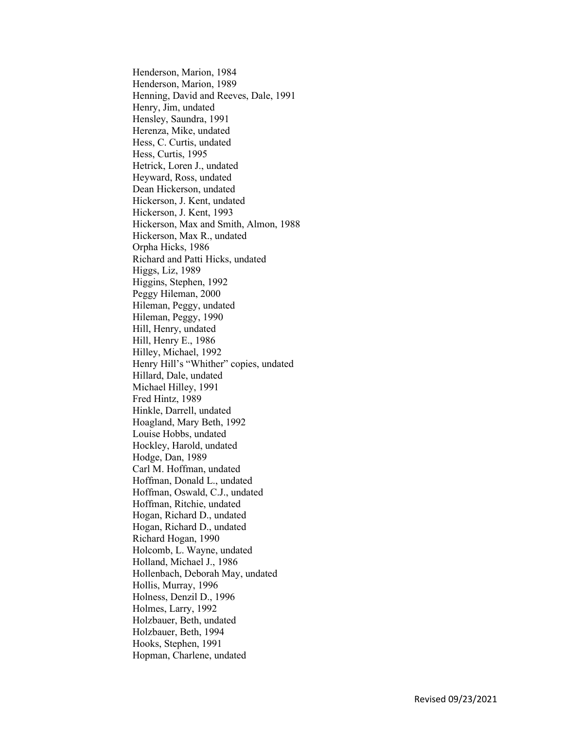Henderson, Marion, 1984 Henderson, Marion, 1989 Henning, David and Reeves, Dale, 1991 Henry, Jim, undated Hensley, Saundra, 1991 Herenza, Mike, undated Hess, C. Curtis, undated Hess, Curtis, 1995 Hetrick, Loren J., undated Heyward, Ross, undated Dean Hickerson, undated Hickerson, J. Kent, undated Hickerson, J. Kent, 1993 Hickerson, Max and Smith, Almon, 1988 Hickerson, Max R., undated Orpha Hicks, 1986 Richard and Patti Hicks, undated Higgs, Liz, 1989 Higgins, Stephen, 1992 Peggy Hileman, 2000 Hileman, Peggy, undated Hileman, Peggy, 1990 Hill, Henry, undated Hill, Henry E., 1986 Hilley, Michael, 1992 Henry Hill's "Whither" copies, undated Hillard, Dale, undated Michael Hilley, 1991 Fred Hintz, 1989 Hinkle, Darrell, undated Hoagland, Mary Beth, 1992 Louise Hobbs, undated Hockley, Harold, undated Hodge, Dan, 1989 Carl M. Hoffman, undated Hoffman, Donald L., undated Hoffman, Oswald, C.J., undated Hoffman, Ritchie, undated Hogan, Richard D., undated Hogan, Richard D., undated Richard Hogan, 1990 Holcomb, L. Wayne, undated Holland, Michael J., 1986 Hollenbach, Deborah May, undated Hollis, Murray, 1996 Holness, Denzil D., 1996 Holmes, Larry, 1992 Holzbauer, Beth, undated Holzbauer, Beth, 1994 Hooks, Stephen, 1991 Hopman, Charlene, undated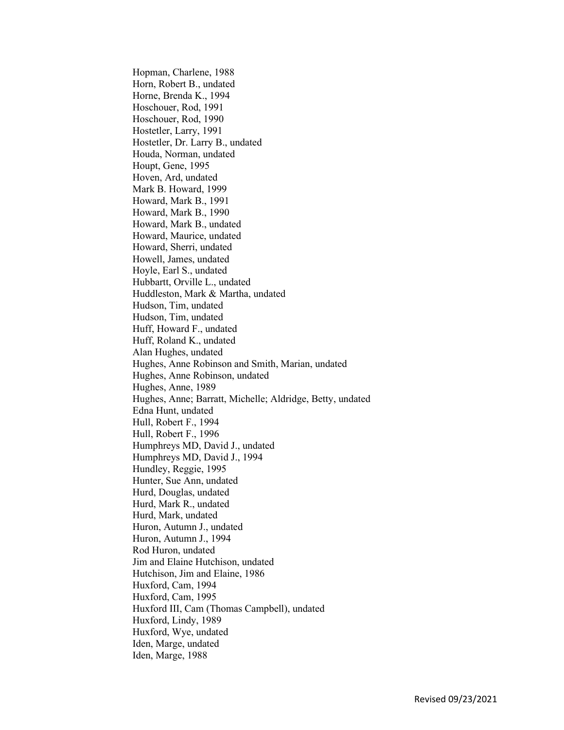Hopman, Charlene, 1988 Horn, Robert B., undated Horne, Brenda K., 1994 Hoschouer, Rod, 1991 Hoschouer, Rod, 1990 Hostetler, Larry, 1991 Hostetler, Dr. Larry B., undated Houda, Norman, undated Houpt, Gene, 1995 Hoven, Ard, undated Mark B. Howard, 1999 Howard, Mark B., 1991 Howard, Mark B., 1990 Howard, Mark B., undated Howard, Maurice, undated Howard, Sherri, undated Howell, James, undated Hoyle, Earl S., undated Hubbartt, Orville L., undated Huddleston, Mark & Martha, undated Hudson, Tim, undated Hudson, Tim, undated Huff, Howard F., undated Huff, Roland K., undated Alan Hughes, undated Hughes, Anne Robinson and Smith, Marian, undated Hughes, Anne Robinson, undated Hughes, Anne, 1989 Hughes, Anne; Barratt, Michelle; Aldridge, Betty, undated Edna Hunt, undated Hull, Robert F., 1994 Hull, Robert F., 1996 Humphreys MD, David J., undated Humphreys MD, David J., 1994 Hundley, Reggie, 1995 Hunter, Sue Ann, undated Hurd, Douglas, undated Hurd, Mark R., undated Hurd, Mark, undated Huron, Autumn J., undated Huron, Autumn J., 1994 Rod Huron, undated Jim and Elaine Hutchison, undated Hutchison, Jim and Elaine, 1986 Huxford, Cam, 1994 Huxford, Cam, 1995 Huxford III, Cam (Thomas Campbell), undated Huxford, Lindy, 1989 Huxford, Wye, undated Iden, Marge, undated Iden, Marge, 1988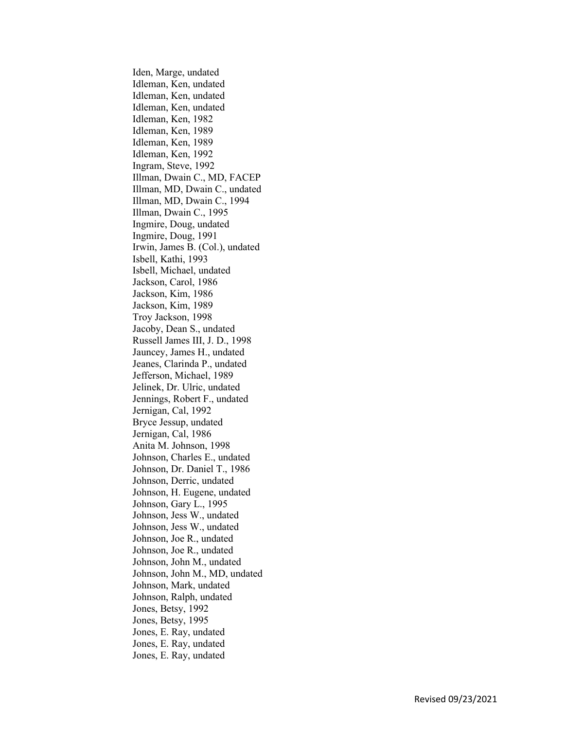Iden, Marge, undated Idleman, Ken, undated Idleman, Ken, undated Idleman, Ken, undated Idleman, Ken, 1982 Idleman, Ken, 1989 Idleman, Ken, 1989 Idleman, Ken, 1992 Ingram, Steve, 1992 Illman, Dwain C., MD, FACEP Illman, MD, Dwain C., undated Illman, MD, Dwain C., 1994 Illman, Dwain C., 1995 Ingmire, Doug, undated Ingmire, Doug, 1991 Irwin, James B. (Col.), undated Isbell, Kathi, 1993 Isbell, Michael, undated Jackson, Carol, 1986 Jackson, Kim, 1986 Jackson, Kim, 1989 Troy Jackson, 1998 Jacoby, Dean S., undated Russell James III, J. D., 1998 Jauncey, James H., undated Jeanes, Clarinda P., undated Jefferson, Michael, 1989 Jelinek, Dr. Ulric, undated Jennings, Robert F., undated Jernigan, Cal, 1992 Bryce Jessup, undated Jernigan, Cal, 1986 Anita M. Johnson, 1998 Johnson, Charles E., undated Johnson, Dr. Daniel T., 1986 Johnson, Derric, undated Johnson, H. Eugene, undated Johnson, Gary L., 1995 Johnson, Jess W., undated Johnson, Jess W., undated Johnson, Joe R., undated Johnson, Joe R., undated Johnson, John M., undated Johnson, John M., MD, undated Johnson, Mark, undated Johnson, Ralph, undated Jones, Betsy, 1992 Jones, Betsy, 1995 Jones, E. Ray, undated Jones, E. Ray, undated Jones, E. Ray, undated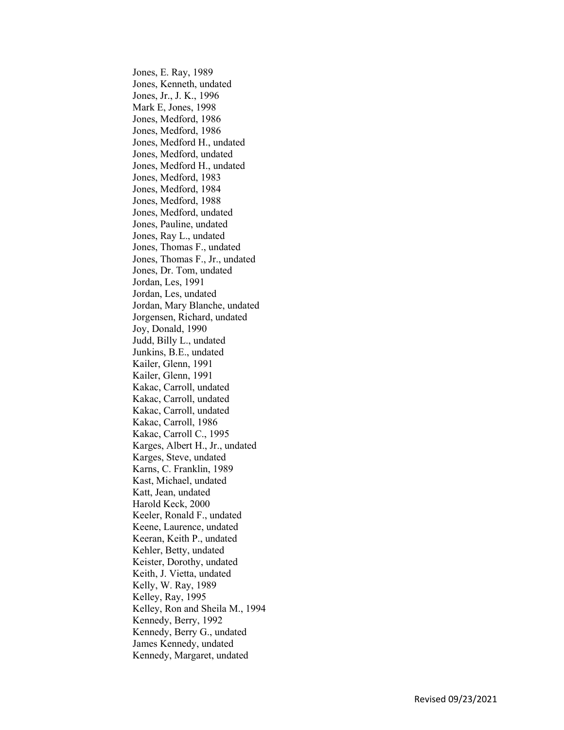Jones, E. Ray, 1989 Jones, Kenneth, undated Jones, Jr., J. K., 1996 Mark E, Jones, 1998 Jones, Medford, 1986 Jones, Medford, 1986 Jones, Medford H., undated Jones, Medford, undated Jones, Medford H., undated Jones, Medford, 1983 Jones, Medford, 1984 Jones, Medford, 1988 Jones, Medford, undated Jones, Pauline, undated Jones, Ray L., undated Jones, Thomas F., undated Jones, Thomas F., Jr., undated Jones, Dr. Tom, undated Jordan, Les, 1991 Jordan, Les, undated Jordan, Mary Blanche, undated Jorgensen, Richard, undated Joy, Donald, 1990 Judd, Billy L., undated Junkins, B.E., undated Kailer, Glenn, 1991 Kailer, Glenn, 1991 Kakac, Carroll, undated Kakac, Carroll, undated Kakac, Carroll, undated Kakac, Carroll, 1986 Kakac, Carroll C., 1995 Karges, Albert H., Jr., undated Karges, Steve, undated Karns, C. Franklin, 1989 Kast, Michael, undated Katt, Jean, undated Harold Keck, 2000 Keeler, Ronald F., undated Keene, Laurence, undated Keeran, Keith P., undated Kehler, Betty, undated Keister, Dorothy, undated Keith, J. Vietta, undated Kelly, W. Ray, 1989 Kelley, Ray, 1995 Kelley, Ron and Sheila M., 1994 Kennedy, Berry, 1992 Kennedy, Berry G., undated James Kennedy, undated Kennedy, Margaret, undated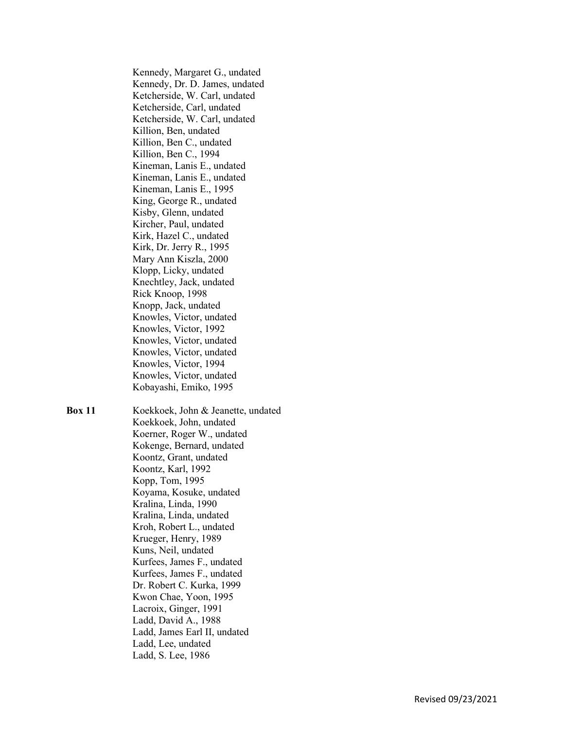Kennedy, Margaret G., undated Kennedy, Dr. D. James, undated Ketcherside, W. Carl, undated Ketcherside, Carl, undated Ketcherside, W. Carl, undated Killion, Ben, undated Killion, Ben C., undated Killion, Ben C., 1994 Kineman, Lanis E., undated Kineman, Lanis E., undated Kineman, Lanis E., 1995 King, George R., undated Kisby, Glenn, undated Kircher, Paul, undated Kirk, Hazel C., undated Kirk, Dr. Jerry R., 1995 Mary Ann Kiszla, 2000 Klopp, Licky, undated Knechtley, Jack, undated Rick Knoop, 1998 Knopp, Jack, undated Knowles, Victor, undated Knowles, Victor, 1992 Knowles, Victor, undated Knowles, Victor, undated Knowles, Victor, 1994 Knowles, Victor, undated Kobayashi, Emiko, 1995

Box 11 Koekkoek, John & Jeanette, undated Koekkoek, John, undated Koerner, Roger W., undated Kokenge, Bernard, undated Koontz, Grant, undated Koontz, Karl, 1992 Kopp, Tom, 1995 Koyama, Kosuke, undated Kralina, Linda, 1990 Kralina, Linda, undated Kroh, Robert L., undated Krueger, Henry, 1989 Kuns, Neil, undated Kurfees, James F., undated Kurfees, James F., undated Dr. Robert C. Kurka, 1999 Kwon Chae, Yoon, 1995 Lacroix, Ginger, 1991 Ladd, David A., 1988 Ladd, James Earl II, undated Ladd, Lee, undated Ladd, S. Lee, 1986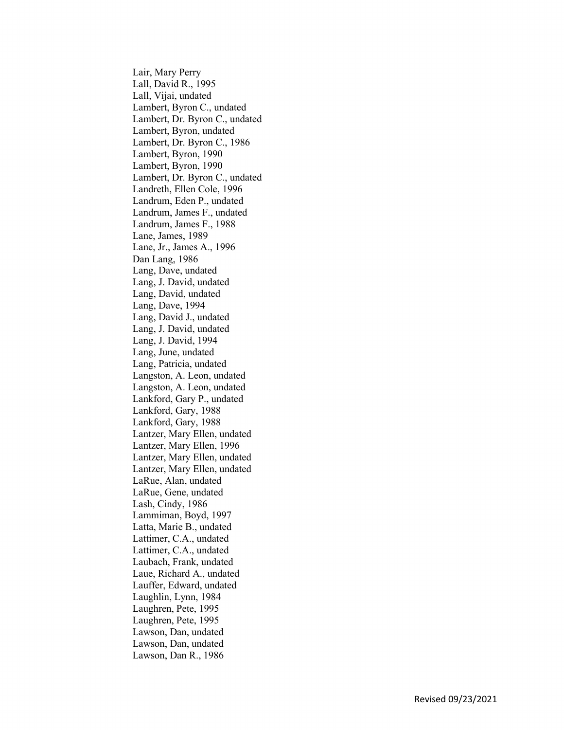Lair, Mary Perry Lall, David R., 1995 Lall, Vijai, undated Lambert, Byron C., undated Lambert, Dr. Byron C., undated Lambert, Byron, undated Lambert, Dr. Byron C., 1986 Lambert, Byron, 1990 Lambert, Byron, 1990 Lambert, Dr. Byron C., undated Landreth, Ellen Cole, 1996 Landrum, Eden P., undated Landrum, James F., undated Landrum, James F., 1988 Lane, James, 1989 Lane, Jr., James A., 1996 Dan Lang, 1986 Lang, Dave, undated Lang, J. David, undated Lang, David, undated Lang, Dave, 1994 Lang, David J., undated Lang, J. David, undated Lang, J. David, 1994 Lang, June, undated Lang, Patricia, undated Langston, A. Leon, undated Langston, A. Leon, undated Lankford, Gary P., undated Lankford, Gary, 1988 Lankford, Gary, 1988 Lantzer, Mary Ellen, undated Lantzer, Mary Ellen, 1996 Lantzer, Mary Ellen, undated Lantzer, Mary Ellen, undated LaRue, Alan, undated LaRue, Gene, undated Lash, Cindy, 1986 Lammiman, Boyd, 1997 Latta, Marie B., undated Lattimer, C.A., undated Lattimer, C.A., undated Laubach, Frank, undated Laue, Richard A., undated Lauffer, Edward, undated Laughlin, Lynn, 1984 Laughren, Pete, 1995 Laughren, Pete, 1995 Lawson, Dan, undated Lawson, Dan, undated Lawson, Dan R., 1986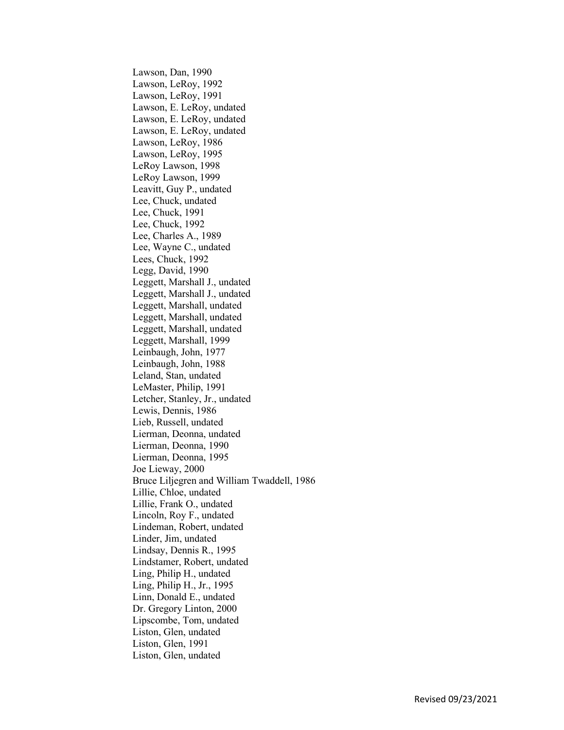Lawson, Dan, 1990 Lawson, LeRoy, 1992 Lawson, LeRoy, 1991 Lawson, E. LeRoy, undated Lawson, E. LeRoy, undated Lawson, E. LeRoy, undated Lawson, LeRoy, 1986 Lawson, LeRoy, 1995 LeRoy Lawson, 1998 LeRoy Lawson, 1999 Leavitt, Guy P., undated Lee, Chuck, undated Lee, Chuck, 1991 Lee, Chuck, 1992 Lee, Charles A., 1989 Lee, Wayne C., undated Lees, Chuck, 1992 Legg, David, 1990 Leggett, Marshall J., undated Leggett, Marshall J., undated Leggett, Marshall, undated Leggett, Marshall, undated Leggett, Marshall, undated Leggett, Marshall, 1999 Leinbaugh, John, 1977 Leinbaugh, John, 1988 Leland, Stan, undated LeMaster, Philip, 1991 Letcher, Stanley, Jr., undated Lewis, Dennis, 1986 Lieb, Russell, undated Lierman, Deonna, undated Lierman, Deonna, 1990 Lierman, Deonna, 1995 Joe Lieway, 2000 Bruce Liljegren and William Twaddell, 1986 Lillie, Chloe, undated Lillie, Frank O., undated Lincoln, Roy F., undated Lindeman, Robert, undated Linder, Jim, undated Lindsay, Dennis R., 1995 Lindstamer, Robert, undated Ling, Philip H., undated Ling, Philip H., Jr., 1995 Linn, Donald E., undated Dr. Gregory Linton, 2000 Lipscombe, Tom, undated Liston, Glen, undated Liston, Glen, 1991 Liston, Glen, undated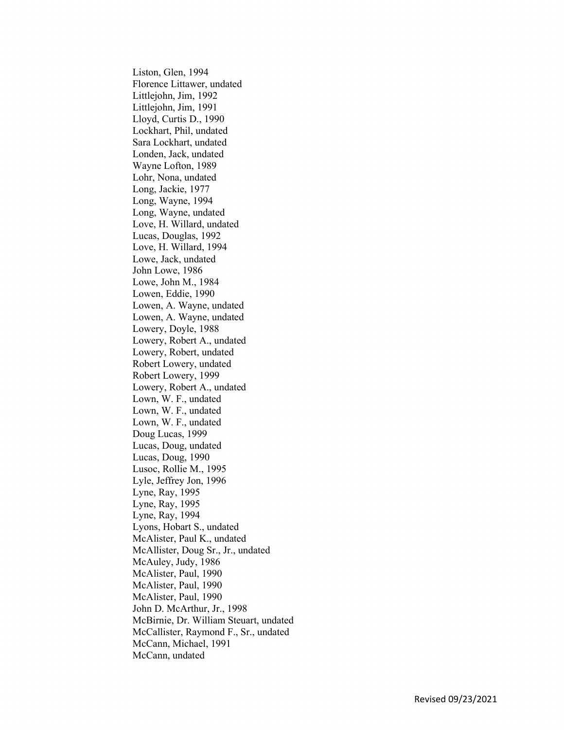Liston, Glen, 1994 Florence Littawer, undated Littlejohn, Jim, 1992 Littlejohn, Jim, 1991 Lloyd, Curtis D., 1990 Lockhart, Phil, undated Sara Lockhart, undated Londen, Jack, undated Wayne Lofton, 1989 Lohr, Nona, undated Long, Jackie, 1977 Long, Wayne, 1994 Long, Wayne, undated Love, H. Willard, undated Lucas, Douglas, 1992 Love, H. Willard, 1994 Lowe, Jack, undated John Lowe, 1986 Lowe, John M., 1984 Lowen, Eddie, 1990 Lowen, A. Wayne, undated Lowen, A. Wayne, undated Lowery, Doyle, 1988 Lowery, Robert A., undated Lowery, Robert, undated Robert Lowery, undated Robert Lowery, 1999 Lowery, Robert A., undated Lown, W. F., undated Lown, W. F., undated Lown, W. F., undated Doug Lucas, 1999 Lucas, Doug, undated Lucas, Doug, 1990 Lusoc, Rollie M., 1995 Lyle, Jeffrey Jon, 1996 Lyne, Ray, 1995 Lyne, Ray, 1995 Lyne, Ray, 1994 Lyons, Hobart S., undated McAlister, Paul K., undated McAllister, Doug Sr., Jr., undated McAuley, Judy, 1986 McAlister, Paul, 1990 McAlister, Paul, 1990 McAlister, Paul, 1990 John D. McArthur, Jr., 1998 McBirnie, Dr. William Steuart, undated McCallister, Raymond F., Sr., undated McCann, Michael, 1991 McCann, undated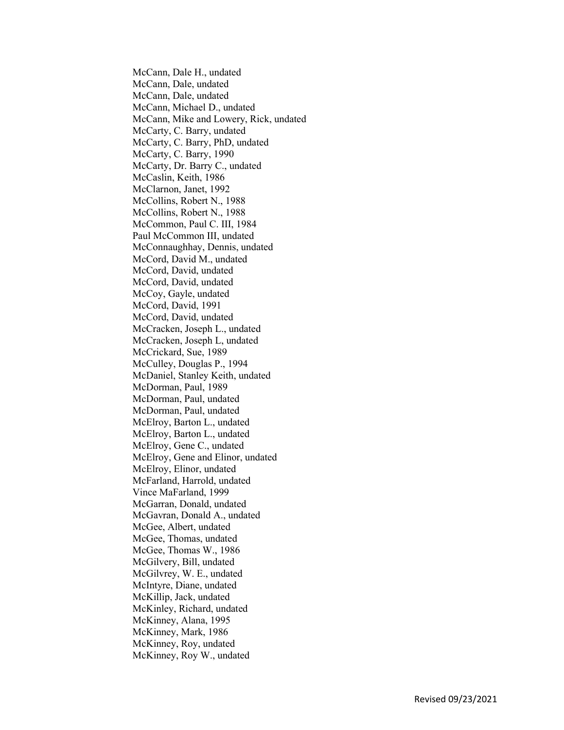McCann, Dale H., undated McCann, Dale, undated McCann, Dale, undated McCann, Michael D., undated McCann, Mike and Lowery, Rick, undated McCarty, C. Barry, undated McCarty, C. Barry, PhD, undated McCarty, C. Barry, 1990 McCarty, Dr. Barry C., undated McCaslin, Keith, 1986 McClarnon, Janet, 1992 McCollins, Robert N., 1988 McCollins, Robert N., 1988 McCommon, Paul C. III, 1984 Paul McCommon III, undated McConnaughhay, Dennis, undated McCord, David M., undated McCord, David, undated McCord, David, undated McCoy, Gayle, undated McCord, David, 1991 McCord, David, undated McCracken, Joseph L., undated McCracken, Joseph L, undated McCrickard, Sue, 1989 McCulley, Douglas P., 1994 McDaniel, Stanley Keith, undated McDorman, Paul, 1989 McDorman, Paul, undated McDorman, Paul, undated McElroy, Barton L., undated McElroy, Barton L., undated McElroy, Gene C., undated McElroy, Gene and Elinor, undated McElroy, Elinor, undated McFarland, Harrold, undated Vince MaFarland, 1999 McGarran, Donald, undated McGavran, Donald A., undated McGee, Albert, undated McGee, Thomas, undated McGee, Thomas W., 1986 McGilvery, Bill, undated McGilvrey, W. E., undated McIntyre, Diane, undated McKillip, Jack, undated McKinley, Richard, undated McKinney, Alana, 1995 McKinney, Mark, 1986 McKinney, Roy, undated McKinney, Roy W., undated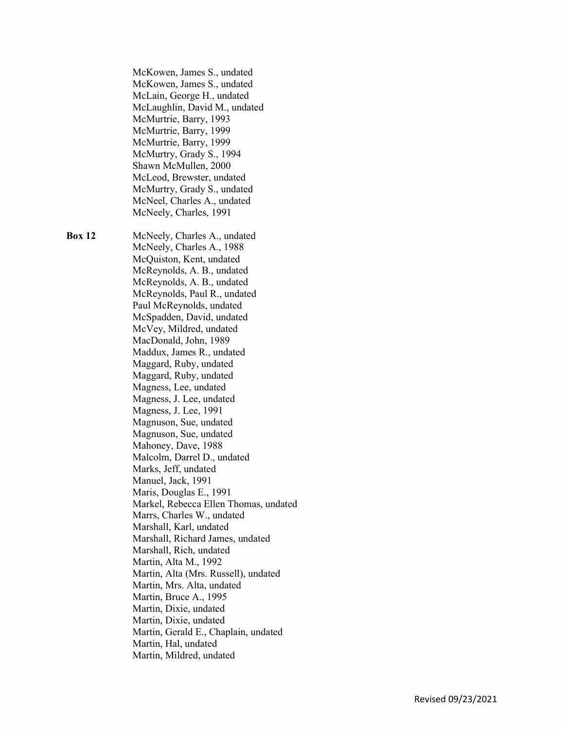| <b>Box 12</b><br>McNeely, Charles A., undated<br>McNeely, Charles A., 1988<br>McQuiston, Kent, undated<br>McReynolds, A. B., undated<br>McReynolds, A. B., undated<br>McReynolds, Paul R., undated<br>Paul McReynolds, undated<br>McSpadden, David, undated<br>McVey, Mildred, undated<br>MacDonald, John, 1989<br>Maddux, James R., undated<br>Maggard, Ruby, undated<br>Maggard, Ruby, undated<br>Magness, Lee, undated<br>Magness, J. Lee, undated<br>Magness, J. Lee, 1991<br>Magnuson, Sue, undated<br>Magnuson, Sue, undated<br>Mahoney, Dave, 1988<br>Malcolm, Darrel D., undated<br>Marks, Jeff, undated<br>Manuel, Jack, 1991<br>Maris, Douglas E., 1991<br>Markel, Rebecca Ellen Thomas, undated<br>Marrs, Charles W., undated<br>Marshall, Karl, undated<br>Marshall, Richard James, undated<br>Marshall, Rich, undated<br>Martin, Alta M., 1992<br>Martin, Alta (Mrs. Russell), undated<br>Martin, Mrs. Alta, undated<br>Martin, Bruce A., 1995<br>Martin, Dixie, undated<br>Martin, Dixie, undated<br>Martin, Gerald E., Chaplain, undated<br>Martin, Hal, undated<br>Martin, Mildred, undated | McKowen, James S., undated<br>McKowen, James S., undated<br>McLain, George H., undated<br>McLaughlin, David M., undated<br>McMurtrie, Barry, 1993<br>McMurtrie, Barry, 1999<br>McMurtrie, Barry, 1999<br>McMurtry, Grady S., 1994<br>Shawn McMullen, 2000<br>McLeod, Brewster, undated<br>McMurtry, Grady S., undated<br>McNeel, Charles A., undated<br>McNeely, Charles, 1991 |
|-------------------------------------------------------------------------------------------------------------------------------------------------------------------------------------------------------------------------------------------------------------------------------------------------------------------------------------------------------------------------------------------------------------------------------------------------------------------------------------------------------------------------------------------------------------------------------------------------------------------------------------------------------------------------------------------------------------------------------------------------------------------------------------------------------------------------------------------------------------------------------------------------------------------------------------------------------------------------------------------------------------------------------------------------------------------------------------------------------------|--------------------------------------------------------------------------------------------------------------------------------------------------------------------------------------------------------------------------------------------------------------------------------------------------------------------------------------------------------------------------------|
|                                                                                                                                                                                                                                                                                                                                                                                                                                                                                                                                                                                                                                                                                                                                                                                                                                                                                                                                                                                                                                                                                                             |                                                                                                                                                                                                                                                                                                                                                                                |
|                                                                                                                                                                                                                                                                                                                                                                                                                                                                                                                                                                                                                                                                                                                                                                                                                                                                                                                                                                                                                                                                                                             |                                                                                                                                                                                                                                                                                                                                                                                |
|                                                                                                                                                                                                                                                                                                                                                                                                                                                                                                                                                                                                                                                                                                                                                                                                                                                                                                                                                                                                                                                                                                             |                                                                                                                                                                                                                                                                                                                                                                                |
|                                                                                                                                                                                                                                                                                                                                                                                                                                                                                                                                                                                                                                                                                                                                                                                                                                                                                                                                                                                                                                                                                                             |                                                                                                                                                                                                                                                                                                                                                                                |
|                                                                                                                                                                                                                                                                                                                                                                                                                                                                                                                                                                                                                                                                                                                                                                                                                                                                                                                                                                                                                                                                                                             |                                                                                                                                                                                                                                                                                                                                                                                |
|                                                                                                                                                                                                                                                                                                                                                                                                                                                                                                                                                                                                                                                                                                                                                                                                                                                                                                                                                                                                                                                                                                             |                                                                                                                                                                                                                                                                                                                                                                                |
|                                                                                                                                                                                                                                                                                                                                                                                                                                                                                                                                                                                                                                                                                                                                                                                                                                                                                                                                                                                                                                                                                                             |                                                                                                                                                                                                                                                                                                                                                                                |
|                                                                                                                                                                                                                                                                                                                                                                                                                                                                                                                                                                                                                                                                                                                                                                                                                                                                                                                                                                                                                                                                                                             |                                                                                                                                                                                                                                                                                                                                                                                |
|                                                                                                                                                                                                                                                                                                                                                                                                                                                                                                                                                                                                                                                                                                                                                                                                                                                                                                                                                                                                                                                                                                             |                                                                                                                                                                                                                                                                                                                                                                                |
|                                                                                                                                                                                                                                                                                                                                                                                                                                                                                                                                                                                                                                                                                                                                                                                                                                                                                                                                                                                                                                                                                                             |                                                                                                                                                                                                                                                                                                                                                                                |
|                                                                                                                                                                                                                                                                                                                                                                                                                                                                                                                                                                                                                                                                                                                                                                                                                                                                                                                                                                                                                                                                                                             |                                                                                                                                                                                                                                                                                                                                                                                |
|                                                                                                                                                                                                                                                                                                                                                                                                                                                                                                                                                                                                                                                                                                                                                                                                                                                                                                                                                                                                                                                                                                             |                                                                                                                                                                                                                                                                                                                                                                                |
|                                                                                                                                                                                                                                                                                                                                                                                                                                                                                                                                                                                                                                                                                                                                                                                                                                                                                                                                                                                                                                                                                                             |                                                                                                                                                                                                                                                                                                                                                                                |
|                                                                                                                                                                                                                                                                                                                                                                                                                                                                                                                                                                                                                                                                                                                                                                                                                                                                                                                                                                                                                                                                                                             |                                                                                                                                                                                                                                                                                                                                                                                |
|                                                                                                                                                                                                                                                                                                                                                                                                                                                                                                                                                                                                                                                                                                                                                                                                                                                                                                                                                                                                                                                                                                             |                                                                                                                                                                                                                                                                                                                                                                                |
|                                                                                                                                                                                                                                                                                                                                                                                                                                                                                                                                                                                                                                                                                                                                                                                                                                                                                                                                                                                                                                                                                                             |                                                                                                                                                                                                                                                                                                                                                                                |
|                                                                                                                                                                                                                                                                                                                                                                                                                                                                                                                                                                                                                                                                                                                                                                                                                                                                                                                                                                                                                                                                                                             |                                                                                                                                                                                                                                                                                                                                                                                |
|                                                                                                                                                                                                                                                                                                                                                                                                                                                                                                                                                                                                                                                                                                                                                                                                                                                                                                                                                                                                                                                                                                             |                                                                                                                                                                                                                                                                                                                                                                                |
|                                                                                                                                                                                                                                                                                                                                                                                                                                                                                                                                                                                                                                                                                                                                                                                                                                                                                                                                                                                                                                                                                                             |                                                                                                                                                                                                                                                                                                                                                                                |
|                                                                                                                                                                                                                                                                                                                                                                                                                                                                                                                                                                                                                                                                                                                                                                                                                                                                                                                                                                                                                                                                                                             |                                                                                                                                                                                                                                                                                                                                                                                |
|                                                                                                                                                                                                                                                                                                                                                                                                                                                                                                                                                                                                                                                                                                                                                                                                                                                                                                                                                                                                                                                                                                             |                                                                                                                                                                                                                                                                                                                                                                                |
|                                                                                                                                                                                                                                                                                                                                                                                                                                                                                                                                                                                                                                                                                                                                                                                                                                                                                                                                                                                                                                                                                                             |                                                                                                                                                                                                                                                                                                                                                                                |
|                                                                                                                                                                                                                                                                                                                                                                                                                                                                                                                                                                                                                                                                                                                                                                                                                                                                                                                                                                                                                                                                                                             |                                                                                                                                                                                                                                                                                                                                                                                |
|                                                                                                                                                                                                                                                                                                                                                                                                                                                                                                                                                                                                                                                                                                                                                                                                                                                                                                                                                                                                                                                                                                             |                                                                                                                                                                                                                                                                                                                                                                                |
|                                                                                                                                                                                                                                                                                                                                                                                                                                                                                                                                                                                                                                                                                                                                                                                                                                                                                                                                                                                                                                                                                                             |                                                                                                                                                                                                                                                                                                                                                                                |
|                                                                                                                                                                                                                                                                                                                                                                                                                                                                                                                                                                                                                                                                                                                                                                                                                                                                                                                                                                                                                                                                                                             |                                                                                                                                                                                                                                                                                                                                                                                |
|                                                                                                                                                                                                                                                                                                                                                                                                                                                                                                                                                                                                                                                                                                                                                                                                                                                                                                                                                                                                                                                                                                             |                                                                                                                                                                                                                                                                                                                                                                                |
|                                                                                                                                                                                                                                                                                                                                                                                                                                                                                                                                                                                                                                                                                                                                                                                                                                                                                                                                                                                                                                                                                                             |                                                                                                                                                                                                                                                                                                                                                                                |
|                                                                                                                                                                                                                                                                                                                                                                                                                                                                                                                                                                                                                                                                                                                                                                                                                                                                                                                                                                                                                                                                                                             |                                                                                                                                                                                                                                                                                                                                                                                |
|                                                                                                                                                                                                                                                                                                                                                                                                                                                                                                                                                                                                                                                                                                                                                                                                                                                                                                                                                                                                                                                                                                             |                                                                                                                                                                                                                                                                                                                                                                                |
|                                                                                                                                                                                                                                                                                                                                                                                                                                                                                                                                                                                                                                                                                                                                                                                                                                                                                                                                                                                                                                                                                                             |                                                                                                                                                                                                                                                                                                                                                                                |
|                                                                                                                                                                                                                                                                                                                                                                                                                                                                                                                                                                                                                                                                                                                                                                                                                                                                                                                                                                                                                                                                                                             |                                                                                                                                                                                                                                                                                                                                                                                |
|                                                                                                                                                                                                                                                                                                                                                                                                                                                                                                                                                                                                                                                                                                                                                                                                                                                                                                                                                                                                                                                                                                             |                                                                                                                                                                                                                                                                                                                                                                                |
|                                                                                                                                                                                                                                                                                                                                                                                                                                                                                                                                                                                                                                                                                                                                                                                                                                                                                                                                                                                                                                                                                                             |                                                                                                                                                                                                                                                                                                                                                                                |
|                                                                                                                                                                                                                                                                                                                                                                                                                                                                                                                                                                                                                                                                                                                                                                                                                                                                                                                                                                                                                                                                                                             |                                                                                                                                                                                                                                                                                                                                                                                |
|                                                                                                                                                                                                                                                                                                                                                                                                                                                                                                                                                                                                                                                                                                                                                                                                                                                                                                                                                                                                                                                                                                             |                                                                                                                                                                                                                                                                                                                                                                                |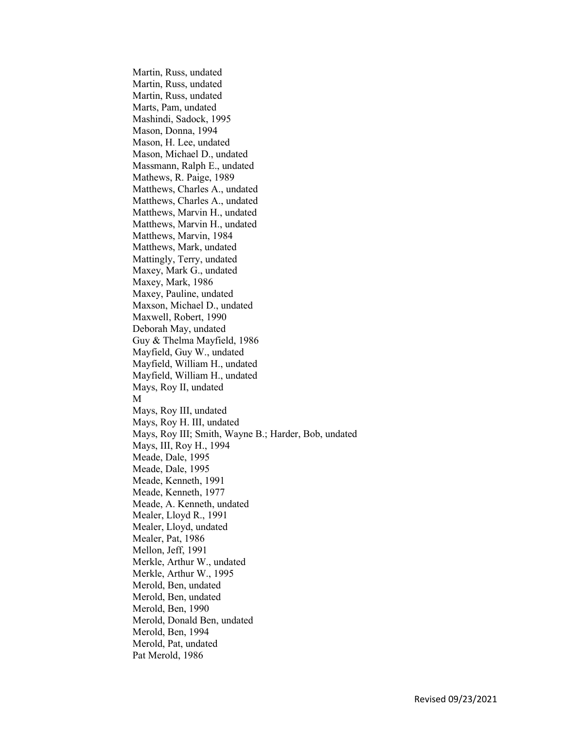Martin, Russ, undated Martin, Russ, undated Martin, Russ, undated Marts, Pam, undated Mashindi, Sadock, 1995 Mason, Donna, 1994 Mason, H. Lee, undated Mason, Michael D., undated Massmann, Ralph E., undated Mathews, R. Paige, 1989 Matthews, Charles A., undated Matthews, Charles A., undated Matthews, Marvin H., undated Matthews, Marvin H., undated Matthews, Marvin, 1984 Matthews, Mark, undated Mattingly, Terry, undated Maxey, Mark G., undated Maxey, Mark, 1986 Maxey, Pauline, undated Maxson, Michael D., undated Maxwell, Robert, 1990 Deborah May, undated Guy & Thelma Mayfield, 1986 Mayfield, Guy W., undated Mayfield, William H., undated Mayfield, William H., undated Mays, Roy II, undated M Mays, Roy III, undated Mays, Roy H. III, undated Mays, Roy III; Smith, Wayne B.; Harder, Bob, undated Mays, III, Roy H., 1994 Meade, Dale, 1995 Meade, Dale, 1995 Meade, Kenneth, 1991 Meade, Kenneth, 1977 Meade, A. Kenneth, undated Mealer, Lloyd R., 1991 Mealer, Lloyd, undated Mealer, Pat, 1986 Mellon, Jeff, 1991 Merkle, Arthur W., undated Merkle, Arthur W., 1995 Merold, Ben, undated Merold, Ben, undated Merold, Ben, 1990 Merold, Donald Ben, undated Merold, Ben, 1994 Merold, Pat, undated Pat Merold, 1986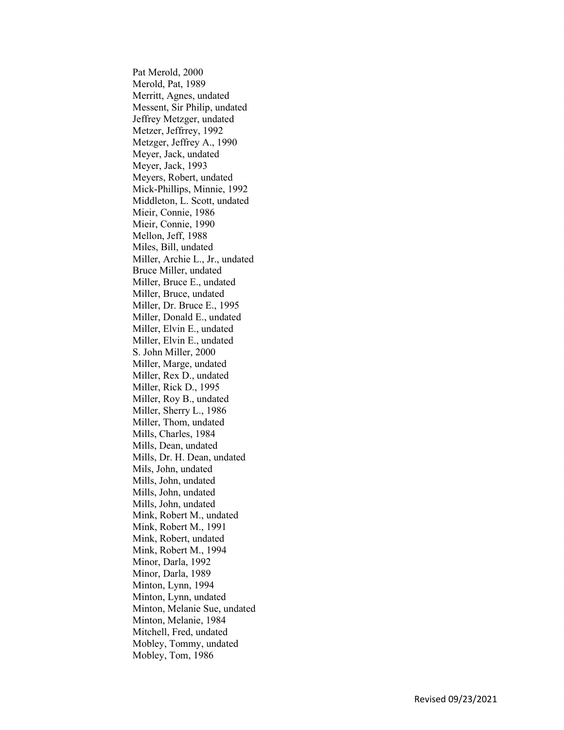Pat Merold, 2000 Merold, Pat, 1989 Merritt, Agnes, undated Messent, Sir Philip, undated Jeffrey Metzger, undated Metzer, Jeffrrey, 1992 Metzger, Jeffrey A., 1990 Meyer, Jack, undated Meyer, Jack, 1993 Meyers, Robert, undated Mick-Phillips, Minnie, 1992 Middleton, L. Scott, undated Mieir, Connie, 1986 Mieir, Connie, 1990 Mellon, Jeff, 1988 Miles, Bill, undated Miller, Archie L., Jr., undated Bruce Miller, undated Miller, Bruce E., undated Miller, Bruce, undated Miller, Dr. Bruce E., 1995 Miller, Donald E., undated Miller, Elvin E., undated Miller, Elvin E., undated S. John Miller, 2000 Miller, Marge, undated Miller, Rex D., undated Miller, Rick D., 1995 Miller, Roy B., undated Miller, Sherry L., 1986 Miller, Thom, undated Mills, Charles, 1984 Mills, Dean, undated Mills, Dr. H. Dean, undated Mils, John, undated Mills, John, undated Mills, John, undated Mills, John, undated Mink, Robert M., undated Mink, Robert M., 1991 Mink, Robert, undated Mink, Robert M., 1994 Minor, Darla, 1992 Minor, Darla, 1989 Minton, Lynn, 1994 Minton, Lynn, undated Minton, Melanie Sue, undated Minton, Melanie, 1984 Mitchell, Fred, undated Mobley, Tommy, undated Mobley, Tom, 1986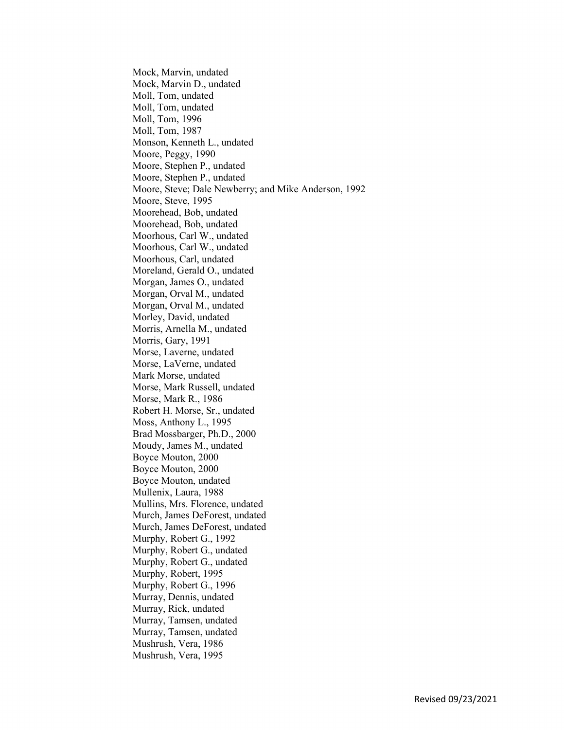Mock, Marvin, undated Mock, Marvin D., undated Moll, Tom, undated Moll, Tom, undated Moll, Tom, 1996 Moll, Tom, 1987 Monson, Kenneth L., undated Moore, Peggy, 1990 Moore, Stephen P., undated Moore, Stephen P., undated Moore, Steve; Dale Newberry; and Mike Anderson, 1992 Moore, Steve, 1995 Moorehead, Bob, undated Moorehead, Bob, undated Moorhous, Carl W., undated Moorhous, Carl W., undated Moorhous, Carl, undated Moreland, Gerald O., undated Morgan, James O., undated Morgan, Orval M., undated Morgan, Orval M., undated Morley, David, undated Morris, Arnella M., undated Morris, Gary, 1991 Morse, Laverne, undated Morse, LaVerne, undated Mark Morse, undated Morse, Mark Russell, undated Morse, Mark R., 1986 Robert H. Morse, Sr., undated Moss, Anthony L., 1995 Brad Mossbarger, Ph.D., 2000 Moudy, James M., undated Boyce Mouton, 2000 Boyce Mouton, 2000 Boyce Mouton, undated Mullenix, Laura, 1988 Mullins, Mrs. Florence, undated Murch, James DeForest, undated Murch, James DeForest, undated Murphy, Robert G., 1992 Murphy, Robert G., undated Murphy, Robert G., undated Murphy, Robert, 1995 Murphy, Robert G., 1996 Murray, Dennis, undated Murray, Rick, undated Murray, Tamsen, undated Murray, Tamsen, undated Mushrush, Vera, 1986 Mushrush, Vera, 1995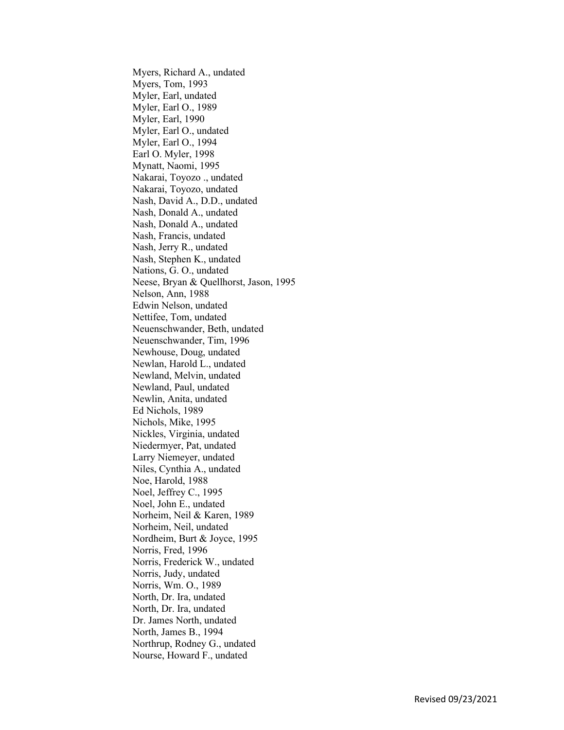Myers, Richard A., undated Myers, Tom, 1993 Myler, Earl, undated Myler, Earl O., 1989 Myler, Earl, 1990 Myler, Earl O., undated Myler, Earl O., 1994 Earl O. Myler, 1998 Mynatt, Naomi, 1995 Nakarai, Toyozo ., undated Nakarai, Toyozo, undated Nash, David A., D.D., undated Nash, Donald A., undated Nash, Donald A., undated Nash, Francis, undated Nash, Jerry R., undated Nash, Stephen K., undated Nations, G. O., undated Neese, Bryan & Quellhorst, Jason, 1995 Nelson, Ann, 1988 Edwin Nelson, undated Nettifee, Tom, undated Neuenschwander, Beth, undated Neuenschwander, Tim, 1996 Newhouse, Doug, undated Newlan, Harold L., undated Newland, Melvin, undated Newland, Paul, undated Newlin, Anita, undated Ed Nichols, 1989 Nichols, Mike, 1995 Nickles, Virginia, undated Niedermyer, Pat, undated Larry Niemeyer, undated Niles, Cynthia A., undated Noe, Harold, 1988 Noel, Jeffrey C., 1995 Noel, John E., undated Norheim, Neil & Karen, 1989 Norheim, Neil, undated Nordheim, Burt & Joyce, 1995 Norris, Fred, 1996 Norris, Frederick W., undated Norris, Judy, undated Norris, Wm. O., 1989 North, Dr. Ira, undated North, Dr. Ira, undated Dr. James North, undated North, James B., 1994 Northrup, Rodney G., undated Nourse, Howard F., undated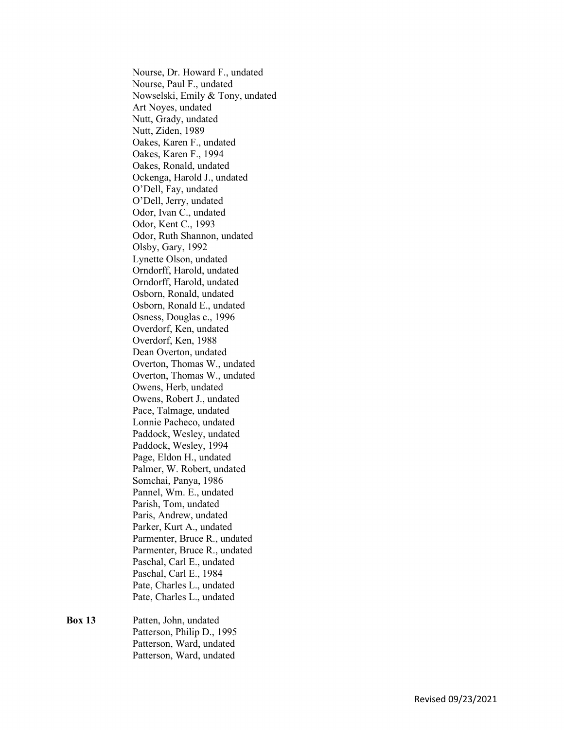Nourse, Dr. Howard F., undated Nourse, Paul F., undated Nowselski, Emily & Tony, undated Art Noyes, undated Nutt, Grady, undated Nutt, Ziden, 1989 Oakes, Karen F., undated Oakes, Karen F., 1994 Oakes, Ronald, undated Ockenga, Harold J., undated O'Dell, Fay, undated O'Dell, Jerry, undated Odor, Ivan C., undated Odor, Kent C., 1993 Odor, Ruth Shannon, undated Olsby, Gary, 1992 Lynette Olson, undated Orndorff, Harold, undated Orndorff, Harold, undated Osborn, Ronald, undated Osborn, Ronald E., undated Osness, Douglas c., 1996 Overdorf, Ken, undated Overdorf, Ken, 1988 Dean Overton, undated Overton, Thomas W., undated Overton, Thomas W., undated Owens, Herb, undated Owens, Robert J., undated Pace, Talmage, undated Lonnie Pacheco, undated Paddock, Wesley, undated Paddock, Wesley, 1994 Page, Eldon H., undated Palmer, W. Robert, undated Somchai, Panya, 1986 Pannel, Wm. E., undated Parish, Tom, undated Paris, Andrew, undated Parker, Kurt A., undated Parmenter, Bruce R., undated Parmenter, Bruce R., undated Paschal, Carl E., undated Paschal, Carl E., 1984 Pate, Charles L., undated Pate, Charles L., undated

## Box 13 Patten, John, undated Patterson, Philip D., 1995 Patterson, Ward, undated Patterson, Ward, undated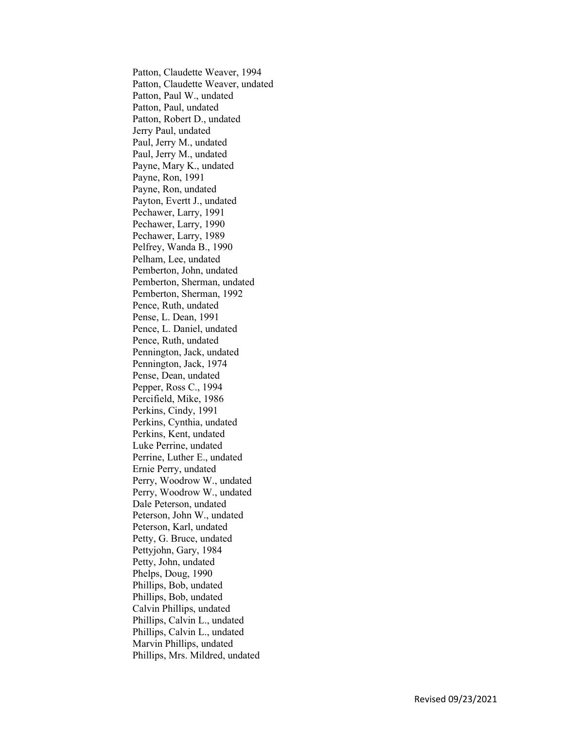Patton, Claudette Weaver, 1994 Patton, Claudette Weaver, undated Patton, Paul W., undated Patton, Paul, undated Patton, Robert D., undated Jerry Paul, undated Paul, Jerry M., undated Paul, Jerry M., undated Payne, Mary K., undated Payne, Ron, 1991 Payne, Ron, undated Payton, Evertt J., undated Pechawer, Larry, 1991 Pechawer, Larry, 1990 Pechawer, Larry, 1989 Pelfrey, Wanda B., 1990 Pelham, Lee, undated Pemberton, John, undated Pemberton, Sherman, undated Pemberton, Sherman, 1992 Pence, Ruth, undated Pense, L. Dean, 1991 Pence, L. Daniel, undated Pence, Ruth, undated Pennington, Jack, undated Pennington, Jack, 1974 Pense, Dean, undated Pepper, Ross C., 1994 Percifield, Mike, 1986 Perkins, Cindy, 1991 Perkins, Cynthia, undated Perkins, Kent, undated Luke Perrine, undated Perrine, Luther E., undated Ernie Perry, undated Perry, Woodrow W., undated Perry, Woodrow W., undated Dale Peterson, undated Peterson, John W., undated Peterson, Karl, undated Petty, G. Bruce, undated Pettyjohn, Gary, 1984 Petty, John, undated Phelps, Doug, 1990 Phillips, Bob, undated Phillips, Bob, undated Calvin Phillips, undated Phillips, Calvin L., undated Phillips, Calvin L., undated Marvin Phillips, undated Phillips, Mrs. Mildred, undated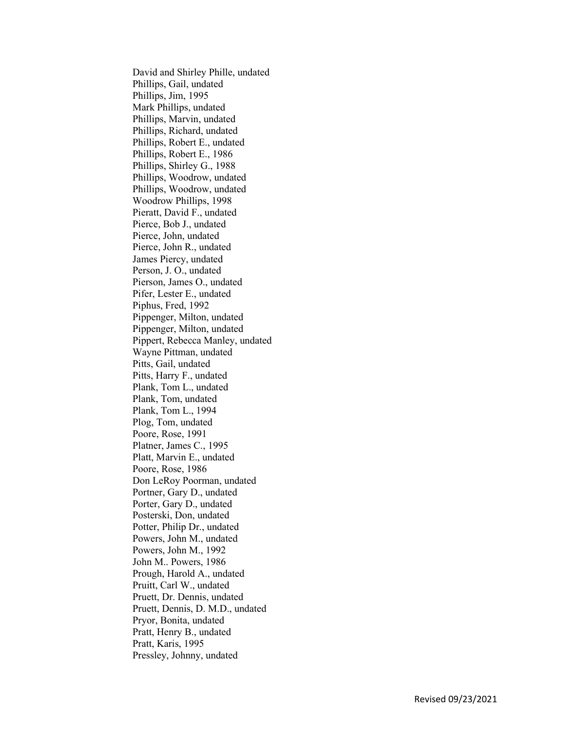David and Shirley Phille, undated Phillips, Gail, undated Phillips, Jim, 1995 Mark Phillips, undated Phillips, Marvin, undated Phillips, Richard, undated Phillips, Robert E., undated Phillips, Robert E., 1986 Phillips, Shirley G., 1988 Phillips, Woodrow, undated Phillips, Woodrow, undated Woodrow Phillips, 1998 Pieratt, David F., undated Pierce, Bob J., undated Pierce, John, undated Pierce, John R., undated James Piercy, undated Person, J. O., undated Pierson, James O., undated Pifer, Lester E., undated Piphus, Fred, 1992 Pippenger, Milton, undated Pippenger, Milton, undated Pippert, Rebecca Manley, undated Wayne Pittman, undated Pitts, Gail, undated Pitts, Harry F., undated Plank, Tom L., undated Plank, Tom, undated Plank, Tom L., 1994 Plog, Tom, undated Poore, Rose, 1991 Platner, James C., 1995 Platt, Marvin E., undated Poore, Rose, 1986 Don LeRoy Poorman, undated Portner, Gary D., undated Porter, Gary D., undated Posterski, Don, undated Potter, Philip Dr., undated Powers, John M., undated Powers, John M., 1992 John M.. Powers, 1986 Prough, Harold A., undated Pruitt, Carl W., undated Pruett, Dr. Dennis, undated Pruett, Dennis, D. M.D., undated Pryor, Bonita, undated Pratt, Henry B., undated Pratt, Karis, 1995 Pressley, Johnny, undated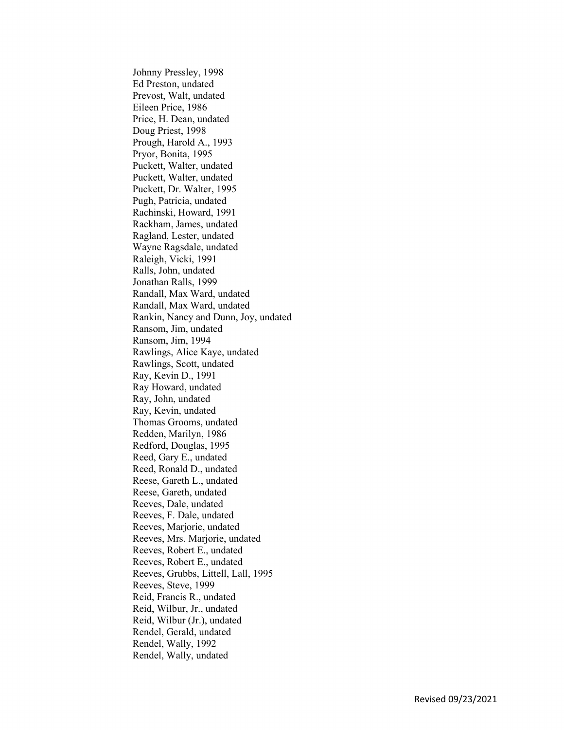Johnny Pressley, 1998 Ed Preston, undated Prevost, Walt, undated Eileen Price, 1986 Price, H. Dean, undated Doug Priest, 1998 Prough, Harold A., 1993 Pryor, Bonita, 1995 Puckett, Walter, undated Puckett, Walter, undated Puckett, Dr. Walter, 1995 Pugh, Patricia, undated Rachinski, Howard, 1991 Rackham, James, undated Ragland, Lester, undated Wayne Ragsdale, undated Raleigh, Vicki, 1991 Ralls, John, undated Jonathan Ralls, 1999 Randall, Max Ward, undated Randall, Max Ward, undated Rankin, Nancy and Dunn, Joy, undated Ransom, Jim, undated Ransom, Jim, 1994 Rawlings, Alice Kaye, undated Rawlings, Scott, undated Ray, Kevin D., 1991 Ray Howard, undated Ray, John, undated Ray, Kevin, undated Thomas Grooms, undated Redden, Marilyn, 1986 Redford, Douglas, 1995 Reed, Gary E., undated Reed, Ronald D., undated Reese, Gareth L., undated Reese, Gareth, undated Reeves, Dale, undated Reeves, F. Dale, undated Reeves, Marjorie, undated Reeves, Mrs. Marjorie, undated Reeves, Robert E., undated Reeves, Robert E., undated Reeves, Grubbs, Littell, Lall, 1995 Reeves, Steve, 1999 Reid, Francis R., undated Reid, Wilbur, Jr., undated Reid, Wilbur (Jr.), undated Rendel, Gerald, undated Rendel, Wally, 1992 Rendel, Wally, undated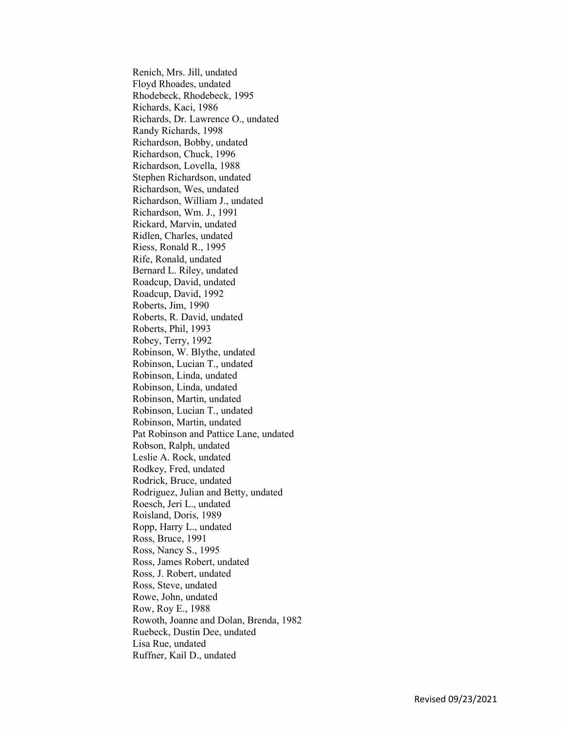Renich, Mrs. Jill, undated Floyd Rhoades, undated Rhodebeck, Rhodebeck, 1995 Richards, Kaci, 1986 Richards, Dr. Lawrence O., undated Randy Richards, 1998 Richardson, Bobby, undated Richardson, Chuck, 1996 Richardson, Lovella, 1988 Stephen Richardson, undated Richardson, Wes, undated Richardson, William J., undated Richardson, Wm. J., 1991 Rickard, Marvin, undated Ridlen, Charles, undated Riess, Ronald R., 1995 Rife, Ronald, undated Bernard L. Riley, undated Roadcup, David, undated Roadcup, David, 1992 Roberts, Jim, 1990 Roberts, R. David, undated Roberts, Phil, 1993 Robey, Terry, 1992 Robinson, W. Blythe, undated Robinson, Lucian T., undated Robinson, Linda, undated Robinson, Linda, undated Robinson, Martin, undated Robinson, Lucian T., undated Robinson, Martin, undated Pat Robinson and Pattice Lane, undated Robson, Ralph, undated Leslie A. Rock, undated Rodkey, Fred, undated Rodrick, Bruce, undated Rodriguez, Julian and Betty, undated Roesch, Jeri L., undated Roisland, Doris, 1989 Ropp, Harry L., undated Ross, Bruce, 1991 Ross, Nancy S., 1995 Ross, James Robert, undated Ross, J. Robert, undated Ross, Steve, undated Rowe, John, undated Row, Roy E., 1988 Rowoth, Joanne and Dolan, Brenda, 1982 Ruebeck, Dustin Dee, undated Lisa Rue, undated Ruffner, Kail D., undated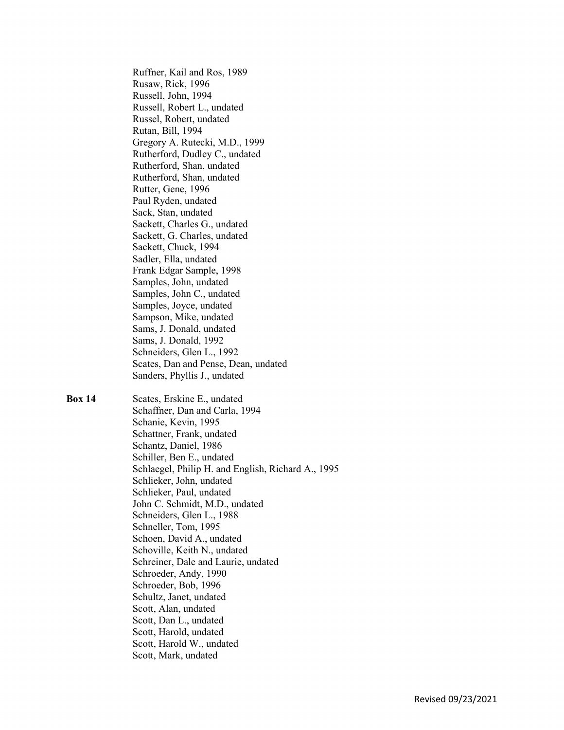Ruffner, Kail and Ros, 1989 Rusaw, Rick, 1996 Russell, John, 1994 Russell, Robert L., undated Russel, Robert, undated Rutan, Bill, 1994 Gregory A. Rutecki, M.D., 1999 Rutherford, Dudley C., undated Rutherford, Shan, undated Rutherford, Shan, undated Rutter, Gene, 1996 Paul Ryden, undated Sack, Stan, undated Sackett, Charles G., undated Sackett, G. Charles, undated Sackett, Chuck, 1994 Sadler, Ella, undated Frank Edgar Sample, 1998 Samples, John, undated Samples, John C., undated Samples, Joyce, undated Sampson, Mike, undated Sams, J. Donald, undated Sams, J. Donald, 1992 Schneiders, Glen L., 1992 Scates, Dan and Pense, Dean, undated Sanders, Phyllis J., undated

Box 14 Scates, Erskine E., undated Schaffner, Dan and Carla, 1994 Schanie, Kevin, 1995 Schattner, Frank, undated Schantz, Daniel, 1986 Schiller, Ben E., undated Schlaegel, Philip H. and English, Richard A., 1995 Schlieker, John, undated Schlieker, Paul, undated John C. Schmidt, M.D., undated Schneiders, Glen L., 1988 Schneller, Tom, 1995 Schoen, David A., undated Schoville, Keith N., undated Schreiner, Dale and Laurie, undated Schroeder, Andy, 1990 Schroeder, Bob, 1996 Schultz, Janet, undated Scott, Alan, undated Scott, Dan L., undated Scott, Harold, undated Scott, Harold W., undated Scott, Mark, undated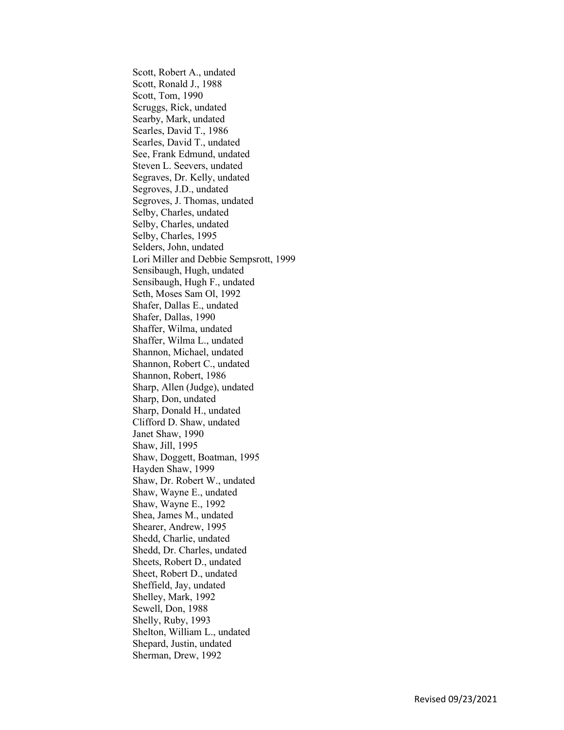Scott, Robert A., undated Scott, Ronald J., 1988 Scott, Tom, 1990 Scruggs, Rick, undated Searby, Mark, undated Searles, David T., 1986 Searles, David T., undated See, Frank Edmund, undated Steven L. Seevers, undated Segraves, Dr. Kelly, undated Segroves, J.D., undated Segroves, J. Thomas, undated Selby, Charles, undated Selby, Charles, undated Selby, Charles, 1995 Selders, John, undated Lori Miller and Debbie Sempsrott, 1999 Sensibaugh, Hugh, undated Sensibaugh, Hugh F., undated Seth, Moses Sam Ol, 1992 Shafer, Dallas E., undated Shafer, Dallas, 1990 Shaffer, Wilma, undated Shaffer, Wilma L., undated Shannon, Michael, undated Shannon, Robert C., undated Shannon, Robert, 1986 Sharp, Allen (Judge), undated Sharp, Don, undated Sharp, Donald H., undated Clifford D. Shaw, undated Janet Shaw, 1990 Shaw, Jill, 1995 Shaw, Doggett, Boatman, 1995 Hayden Shaw, 1999 Shaw, Dr. Robert W., undated Shaw, Wayne E., undated Shaw, Wayne E., 1992 Shea, James M., undated Shearer, Andrew, 1995 Shedd, Charlie, undated Shedd, Dr. Charles, undated Sheets, Robert D., undated Sheet, Robert D., undated Sheffield, Jay, undated Shelley, Mark, 1992 Sewell, Don, 1988 Shelly, Ruby, 1993 Shelton, William L., undated Shepard, Justin, undated Sherman, Drew, 1992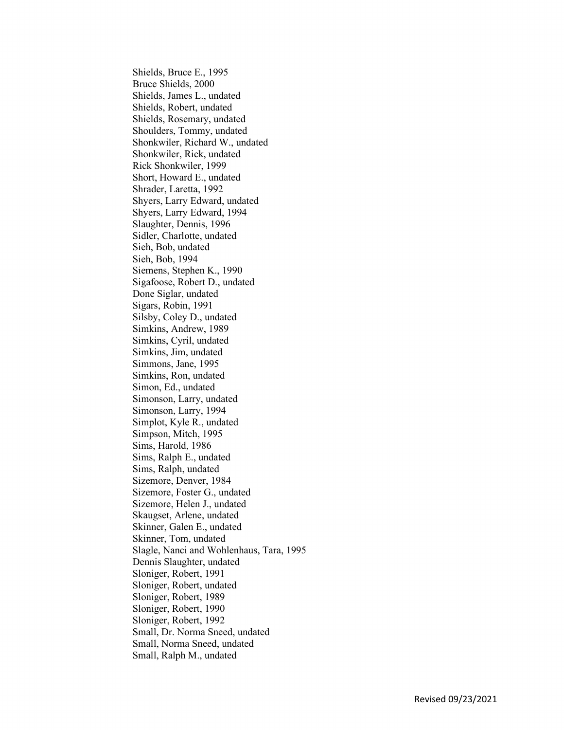Shields, Bruce E., 1995 Bruce Shields, 2000 Shields, James L., undated Shields, Robert, undated Shields, Rosemary, undated Shoulders, Tommy, undated Shonkwiler, Richard W., undated Shonkwiler, Rick, undated Rick Shonkwiler, 1999 Short, Howard E., undated Shrader, Laretta, 1992 Shyers, Larry Edward, undated Shyers, Larry Edward, 1994 Slaughter, Dennis, 1996 Sidler, Charlotte, undated Sieh, Bob, undated Sieh, Bob, 1994 Siemens, Stephen K., 1990 Sigafoose, Robert D., undated Done Siglar, undated Sigars, Robin, 1991 Silsby, Coley D., undated Simkins, Andrew, 1989 Simkins, Cyril, undated Simkins, Jim, undated Simmons, Jane, 1995 Simkins, Ron, undated Simon, Ed., undated Simonson, Larry, undated Simonson, Larry, 1994 Simplot, Kyle R., undated Simpson, Mitch, 1995 Sims, Harold, 1986 Sims, Ralph E., undated Sims, Ralph, undated Sizemore, Denver, 1984 Sizemore, Foster G., undated Sizemore, Helen J., undated Skaugset, Arlene, undated Skinner, Galen E., undated Skinner, Tom, undated Slagle, Nanci and Wohlenhaus, Tara, 1995 Dennis Slaughter, undated Sloniger, Robert, 1991 Sloniger, Robert, undated Sloniger, Robert, 1989 Sloniger, Robert, 1990 Sloniger, Robert, 1992 Small, Dr. Norma Sneed, undated Small, Norma Sneed, undated Small, Ralph M., undated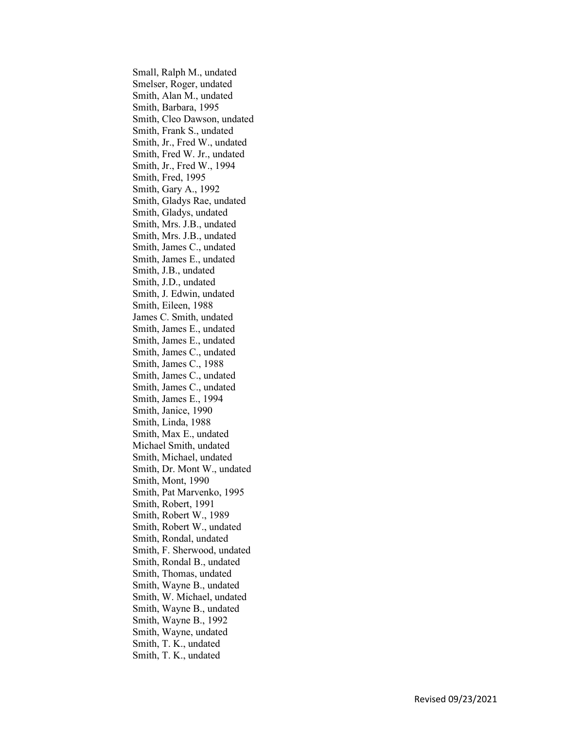Small, Ralph M., undated Smelser, Roger, undated Smith, Alan M., undated Smith, Barbara, 1995 Smith, Cleo Dawson, undated Smith, Frank S., undated Smith, Jr., Fred W., undated Smith, Fred W. Jr., undated Smith, Jr., Fred W., 1994 Smith, Fred, 1995 Smith, Gary A., 1992 Smith, Gladys Rae, undated Smith, Gladys, undated Smith, Mrs. J.B., undated Smith, Mrs. J.B., undated Smith, James C., undated Smith, James E., undated Smith, J.B., undated Smith, J.D., undated Smith, J. Edwin, undated Smith, Eileen, 1988 James C. Smith, undated Smith, James E., undated Smith, James E., undated Smith, James C., undated Smith, James C., 1988 Smith, James C., undated Smith, James C., undated Smith, James E., 1994 Smith, Janice, 1990 Smith, Linda, 1988 Smith, Max E., undated Michael Smith, undated Smith, Michael, undated Smith, Dr. Mont W., undated Smith, Mont, 1990 Smith, Pat Marvenko, 1995 Smith, Robert, 1991 Smith, Robert W., 1989 Smith, Robert W., undated Smith, Rondal, undated Smith, F. Sherwood, undated Smith, Rondal B., undated Smith, Thomas, undated Smith, Wayne B., undated Smith, W. Michael, undated Smith, Wayne B., undated Smith, Wayne B., 1992 Smith, Wayne, undated Smith, T. K., undated Smith, T. K., undated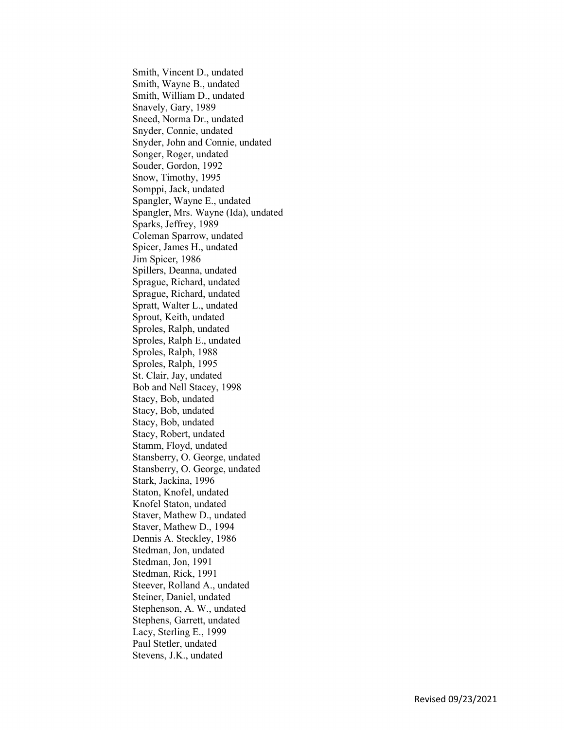Smith, Vincent D., undated Smith, Wayne B., undated Smith, William D., undated Snavely, Gary, 1989 Sneed, Norma Dr., undated Snyder, Connie, undated Snyder, John and Connie, undated Songer, Roger, undated Souder, Gordon, 1992 Snow, Timothy, 1995 Somppi, Jack, undated Spangler, Wayne E., undated Spangler, Mrs. Wayne (Ida), undated Sparks, Jeffrey, 1989 Coleman Sparrow, undated Spicer, James H., undated Jim Spicer, 1986 Spillers, Deanna, undated Sprague, Richard, undated Sprague, Richard, undated Spratt, Walter L., undated Sprout, Keith, undated Sproles, Ralph, undated Sproles, Ralph E., undated Sproles, Ralph, 1988 Sproles, Ralph, 1995 St. Clair, Jay, undated Bob and Nell Stacey, 1998 Stacy, Bob, undated Stacy, Bob, undated Stacy, Bob, undated Stacy, Robert, undated Stamm, Floyd, undated Stansberry, O. George, undated Stansberry, O. George, undated Stark, Jackina, 1996 Staton, Knofel, undated Knofel Staton, undated Staver, Mathew D., undated Staver, Mathew D., 1994 Dennis A. Steckley, 1986 Stedman, Jon, undated Stedman, Jon, 1991 Stedman, Rick, 1991 Steever, Rolland A., undated Steiner, Daniel, undated Stephenson, A. W., undated Stephens, Garrett, undated Lacy, Sterling E., 1999 Paul Stetler, undated Stevens, J.K., undated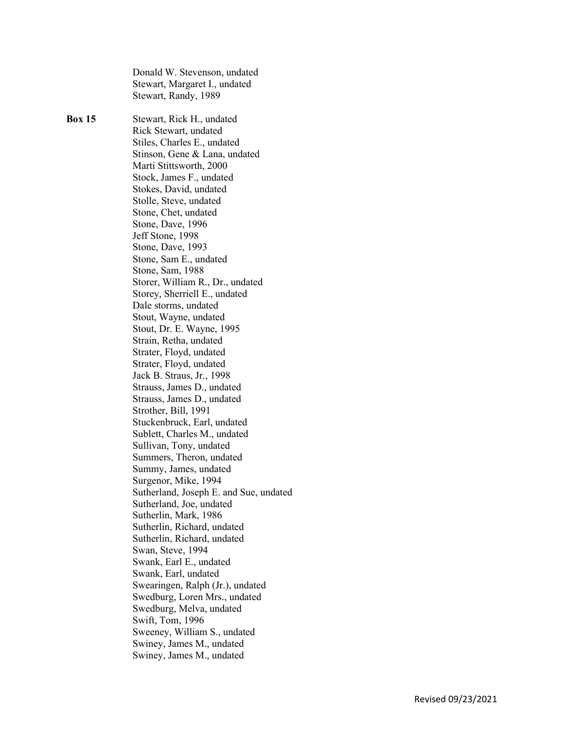Donald W. Stevenson, undated Stewart, Margaret I., undated Stewart, Randy, 1989 Box 15 Stewart, Rick H., undated Rick Stewart, undated Stiles, Charles E., undated Stinson, Gene & Lana, undated Marti Stittsworth, 2000 Stock, James F., undated Stokes, David, undated Stolle, Steve, undated Stone, Chet, undated Stone, Dave, 1996 Jeff Stone, 1998 Stone, Dave, 1993 Stone, Sam E., undated Stone, Sam, 1988 Storer, William R., Dr., undated Storey, Sherriell E., undated Dale storms, undated Stout, Wayne, undated Stout, Dr. E. Wayne, 1995 Strain, Retha, undated Strater, Floyd, undated Strater, Floyd, undated Jack B. Straus, Jr., 1998 Strauss, James D., undated Strauss, James D., undated Strother, Bill, 1991 Stuckenbruck, Earl, undated Sublett, Charles M., undated Sullivan, Tony, undated Summers, Theron, undated Summy, James, undated Surgenor, Mike, 1994 Sutherland, Joseph E. and Sue, undated Sutherland, Joe, undated Sutherlin, Mark, 1986 Sutherlin, Richard, undated Sutherlin, Richard, undated Swan, Steve, 1994 Swank, Earl E., undated Swank, Earl, undated Swearingen, Ralph (Jr.), undated Swedburg, Loren Mrs., undated Swedburg, Melva, undated Swift, Tom, 1996 Sweeney, William S., undated Swiney, James M., undated Swiney, James M., undated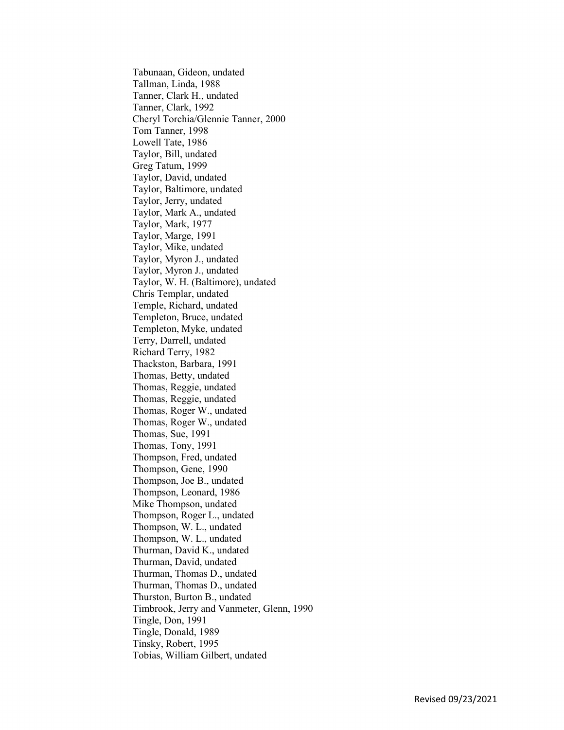Tabunaan, Gideon, undated Tallman, Linda, 1988 Tanner, Clark H., undated Tanner, Clark, 1992 Cheryl Torchia/Glennie Tanner, 2000 Tom Tanner, 1998 Lowell Tate, 1986 Taylor, Bill, undated Greg Tatum, 1999 Taylor, David, undated Taylor, Baltimore, undated Taylor, Jerry, undated Taylor, Mark A., undated Taylor, Mark, 1977 Taylor, Marge, 1991 Taylor, Mike, undated Taylor, Myron J., undated Taylor, Myron J., undated Taylor, W. H. (Baltimore), undated Chris Templar, undated Temple, Richard, undated Templeton, Bruce, undated Templeton, Myke, undated Terry, Darrell, undated Richard Terry, 1982 Thackston, Barbara, 1991 Thomas, Betty, undated Thomas, Reggie, undated Thomas, Reggie, undated Thomas, Roger W., undated Thomas, Roger W., undated Thomas, Sue, 1991 Thomas, Tony, 1991 Thompson, Fred, undated Thompson, Gene, 1990 Thompson, Joe B., undated Thompson, Leonard, 1986 Mike Thompson, undated Thompson, Roger L., undated Thompson, W. L., undated Thompson, W. L., undated Thurman, David K., undated Thurman, David, undated Thurman, Thomas D., undated Thurman, Thomas D., undated Thurston, Burton B., undated Timbrook, Jerry and Vanmeter, Glenn, 1990 Tingle, Don, 1991 Tingle, Donald, 1989 Tinsky, Robert, 1995 Tobias, William Gilbert, undated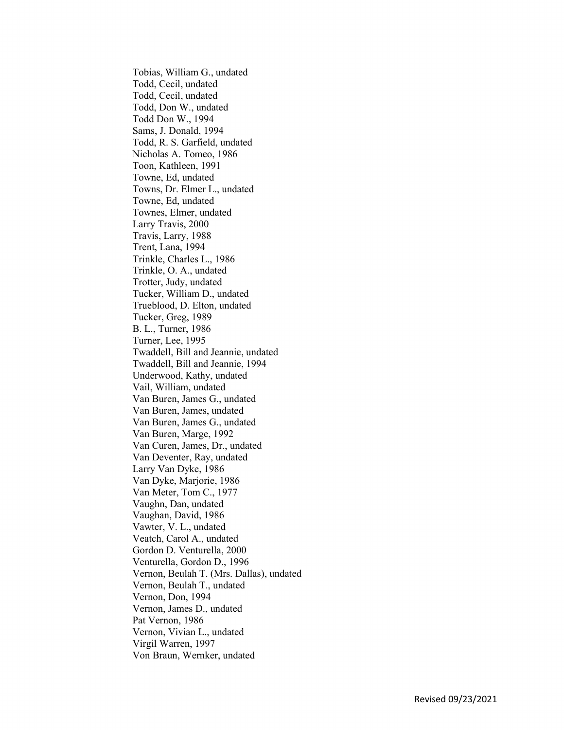Tobias, William G., undated Todd, Cecil, undated Todd, Cecil, undated Todd, Don W., undated Todd Don W., 1994 Sams, J. Donald, 1994 Todd, R. S. Garfield, undated Nicholas A. Tomeo, 1986 Toon, Kathleen, 1991 Towne, Ed, undated Towns, Dr. Elmer L., undated Towne, Ed, undated Townes, Elmer, undated Larry Travis, 2000 Travis, Larry, 1988 Trent, Lana, 1994 Trinkle, Charles L., 1986 Trinkle, O. A., undated Trotter, Judy, undated Tucker, William D., undated Trueblood, D. Elton, undated Tucker, Greg, 1989 B. L., Turner, 1986 Turner, Lee, 1995 Twaddell, Bill and Jeannie, undated Twaddell, Bill and Jeannie, 1994 Underwood, Kathy, undated Vail, William, undated Van Buren, James G., undated Van Buren, James, undated Van Buren, James G., undated Van Buren, Marge, 1992 Van Curen, James, Dr., undated Van Deventer, Ray, undated Larry Van Dyke, 1986 Van Dyke, Marjorie, 1986 Van Meter, Tom C., 1977 Vaughn, Dan, undated Vaughan, David, 1986 Vawter, V. L., undated Veatch, Carol A., undated Gordon D. Venturella, 2000 Venturella, Gordon D., 1996 Vernon, Beulah T. (Mrs. Dallas), undated Vernon, Beulah T., undated Vernon, Don, 1994 Vernon, James D., undated Pat Vernon, 1986 Vernon, Vivian L., undated Virgil Warren, 1997 Von Braun, Wernker, undated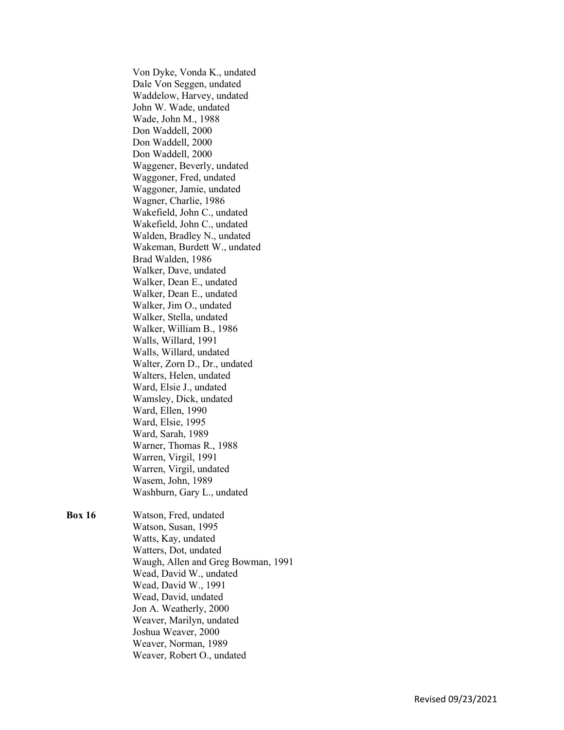Von Dyke, Vonda K., undated Dale Von Seggen, undated Waddelow, Harvey, undated John W. Wade, undated Wade, John M., 1988 Don Waddell, 2000 Don Waddell, 2000 Don Waddell, 2000 Waggener, Beverly, undated Waggoner, Fred, undated Waggoner, Jamie, undated Wagner, Charlie, 1986 Wakefield, John C., undated Wakefield, John C., undated Walden, Bradley N., undated Wakeman, Burdett W., undated Brad Walden, 1986 Walker, Dave, undated Walker, Dean E., undated Walker, Dean E., undated Walker, Jim O., undated Walker, Stella, undated Walker, William B., 1986 Walls, Willard, 1991 Walls, Willard, undated Walter, Zorn D., Dr., undated Walters, Helen, undated Ward, Elsie J., undated Wamsley, Dick, undated Ward, Ellen, 1990 Ward, Elsie, 1995 Ward, Sarah, 1989 Warner, Thomas R., 1988 Warren, Virgil, 1991 Warren, Virgil, undated Wasem, John, 1989 Washburn, Gary L., undated

Box 16 Watson, Fred, undated Watson, Susan, 1995 Watts, Kay, undated Watters, Dot, undated Waugh, Allen and Greg Bowman, 1991 Wead, David W., undated Wead, David W., 1991 Wead, David, undated Jon A. Weatherly, 2000 Weaver, Marilyn, undated Joshua Weaver, 2000 Weaver, Norman, 1989 Weaver, Robert O., undated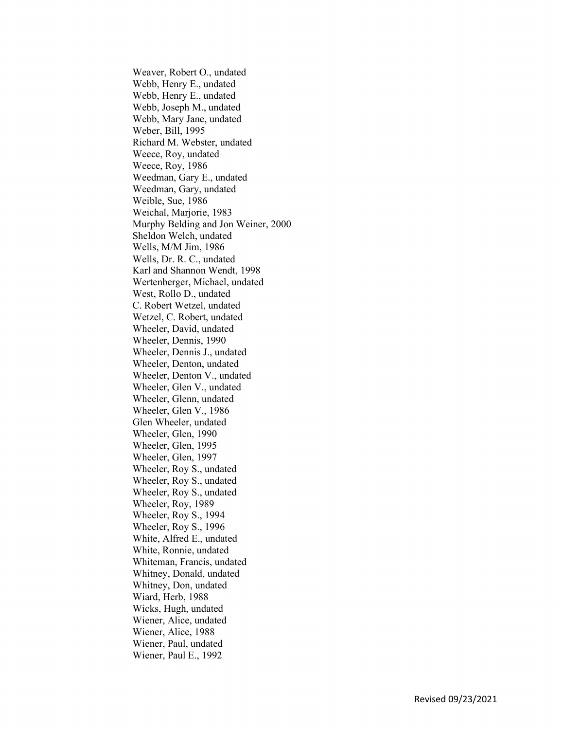Weaver, Robert O., undated Webb, Henry E., undated Webb, Henry E., undated Webb, Joseph M., undated Webb, Mary Jane, undated Weber, Bill, 1995 Richard M. Webster, undated Weece, Roy, undated Weece, Roy, 1986 Weedman, Gary E., undated Weedman, Gary, undated Weible, Sue, 1986 Weichal, Marjorie, 1983 Murphy Belding and Jon Weiner, 2000 Sheldon Welch, undated Wells, M/M Jim, 1986 Wells, Dr. R. C., undated Karl and Shannon Wendt, 1998 Wertenberger, Michael, undated West, Rollo D., undated C. Robert Wetzel, undated Wetzel, C. Robert, undated Wheeler, David, undated Wheeler, Dennis, 1990 Wheeler, Dennis J., undated Wheeler, Denton, undated Wheeler, Denton V., undated Wheeler, Glen V., undated Wheeler, Glenn, undated Wheeler, Glen V., 1986 Glen Wheeler, undated Wheeler, Glen, 1990 Wheeler, Glen, 1995 Wheeler, Glen, 1997 Wheeler, Roy S., undated Wheeler, Roy S., undated Wheeler, Roy S., undated Wheeler, Roy, 1989 Wheeler, Roy S., 1994 Wheeler, Roy S., 1996 White, Alfred E., undated White, Ronnie, undated Whiteman, Francis, undated Whitney, Donald, undated Whitney, Don, undated Wiard, Herb, 1988 Wicks, Hugh, undated Wiener, Alice, undated Wiener, Alice, 1988 Wiener, Paul, undated Wiener, Paul E., 1992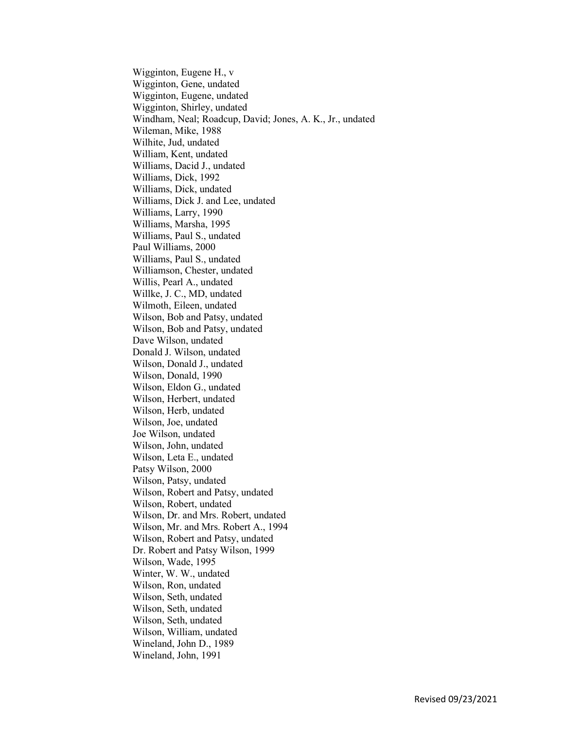Wigginton, Eugene H., v Wigginton, Gene, undated Wigginton, Eugene, undated Wigginton, Shirley, undated Windham, Neal; Roadcup, David; Jones, A. K., Jr., undated Wileman, Mike, 1988 Wilhite, Jud, undated William, Kent, undated Williams, Dacid J., undated Williams, Dick, 1992 Williams, Dick, undated Williams, Dick J. and Lee, undated Williams, Larry, 1990 Williams, Marsha, 1995 Williams, Paul S., undated Paul Williams, 2000 Williams, Paul S., undated Williamson, Chester, undated Willis, Pearl A., undated Willke, J. C., MD, undated Wilmoth, Eileen, undated Wilson, Bob and Patsy, undated Wilson, Bob and Patsy, undated Dave Wilson, undated Donald J. Wilson, undated Wilson, Donald J., undated Wilson, Donald, 1990 Wilson, Eldon G., undated Wilson, Herbert, undated Wilson, Herb, undated Wilson, Joe, undated Joe Wilson, undated Wilson, John, undated Wilson, Leta E., undated Patsy Wilson, 2000 Wilson, Patsy, undated Wilson, Robert and Patsy, undated Wilson, Robert, undated Wilson, Dr. and Mrs. Robert, undated Wilson, Mr. and Mrs. Robert A., 1994 Wilson, Robert and Patsy, undated Dr. Robert and Patsy Wilson, 1999 Wilson, Wade, 1995 Winter, W. W., undated Wilson, Ron, undated Wilson, Seth, undated Wilson, Seth, undated Wilson, Seth, undated Wilson, William, undated Wineland, John D., 1989 Wineland, John, 1991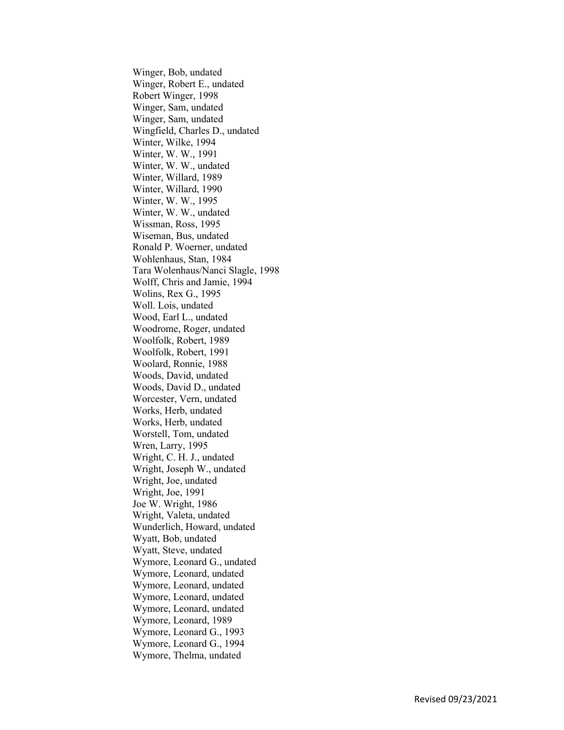Winger, Bob, undated Winger, Robert E., undated Robert Winger, 1998 Winger, Sam, undated Winger, Sam, undated Wingfield, Charles D., undated Winter, Wilke, 1994 Winter, W. W., 1991 Winter, W. W., undated Winter, Willard, 1989 Winter, Willard, 1990 Winter, W. W., 1995 Winter, W. W., undated Wissman, Ross, 1995 Wiseman, Bus, undated Ronald P. Woerner, undated Wohlenhaus, Stan, 1984 Tara Wolenhaus/Nanci Slagle, 1998 Wolff, Chris and Jamie, 1994 Wolins, Rex G., 1995 Woll. Lois, undated Wood, Earl L., undated Woodrome, Roger, undated Woolfolk, Robert, 1989 Woolfolk, Robert, 1991 Woolard, Ronnie, 1988 Woods, David, undated Woods, David D., undated Worcester, Vern, undated Works, Herb, undated Works, Herb, undated Worstell, Tom, undated Wren, Larry, 1995 Wright, C. H. J., undated Wright, Joseph W., undated Wright, Joe, undated Wright, Joe, 1991 Joe W. Wright, 1986 Wright, Valeta, undated Wunderlich, Howard, undated Wyatt, Bob, undated Wyatt, Steve, undated Wymore, Leonard G., undated Wymore, Leonard, undated Wymore, Leonard, undated Wymore, Leonard, undated Wymore, Leonard, undated Wymore, Leonard, 1989 Wymore, Leonard G., 1993 Wymore, Leonard G., 1994 Wymore, Thelma, undated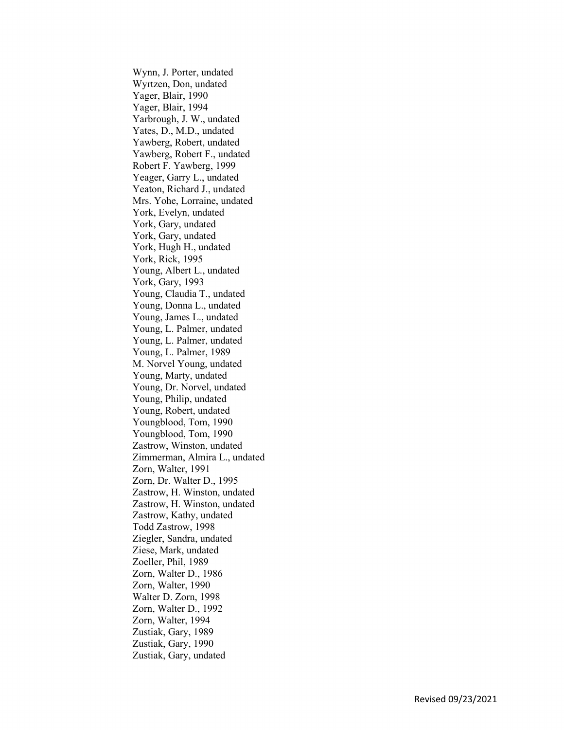Wynn, J. Porter, undated Wyrtzen, Don, undated Yager, Blair, 1990 Yager, Blair, 1994 Yarbrough, J. W., undated Yates, D., M.D., undated Yawberg, Robert, undated Yawberg, Robert F., undated Robert F. Yawberg, 1999 Yeager, Garry L., undated Yeaton, Richard J., undated Mrs. Yohe, Lorraine, undated York, Evelyn, undated York, Gary, undated York, Gary, undated York, Hugh H., undated York, Rick, 1995 Young, Albert L., undated York, Gary, 1993 Young, Claudia T., undated Young, Donna L., undated Young, James L., undated Young, L. Palmer, undated Young, L. Palmer, undated Young, L. Palmer, 1989 M. Norvel Young, undated Young, Marty, undated Young, Dr. Norvel, undated Young, Philip, undated Young, Robert, undated Youngblood, Tom, 1990 Youngblood, Tom, 1990 Zastrow, Winston, undated Zimmerman, Almira L., undated Zorn, Walter, 1991 Zorn, Dr. Walter D., 1995 Zastrow, H. Winston, undated Zastrow, H. Winston, undated Zastrow, Kathy, undated Todd Zastrow, 1998 Ziegler, Sandra, undated Ziese, Mark, undated Zoeller, Phil, 1989 Zorn, Walter D., 1986 Zorn, Walter, 1990 Walter D. Zorn, 1998 Zorn, Walter D., 1992 Zorn, Walter, 1994 Zustiak, Gary, 1989 Zustiak, Gary, 1990 Zustiak, Gary, undated